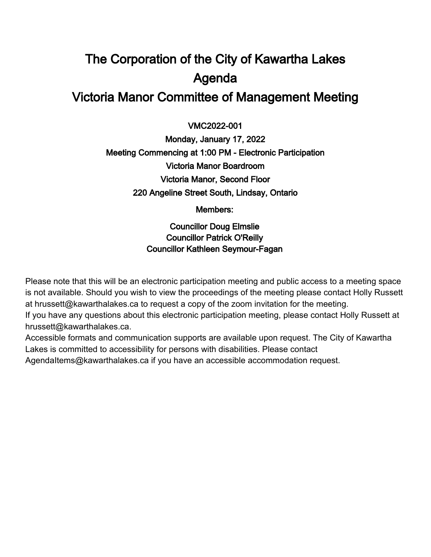# The Corporation of the City of Kawartha Lakes Agenda Victoria Manor Committee of Management Meeting

 $\overline{a}$ VMC2022-001

Monday, January 17, 2022 Meeting Commencing at 1:00 PM - Electronic Participation Victoria Manor Boardroom Victoria Manor, Second Floor 220 Angeline Street South, Lindsay, Ontario

Members:

Councillor Doug Elmslie Councillor Patrick O'Reilly Councillor Kathleen Seymour-Fagan

Please note that this will be an electronic participation meeting and public access to a meeting space is not available. Should you wish to view the proceedings of the meeting please contact Holly Russett at hrussett@kawarthalakes.ca to request a copy of the zoom invitation for the meeting.

If you have any questions about this electronic participation meeting, please contact Holly Russett at hrussett@kawarthalakes.ca.

Accessible formats and communication supports are available upon request. The City of Kawartha Lakes is committed to accessibility for persons with disabilities. Please contact

AgendaItems@kawarthalakes.ca if you have an accessible accommodation request.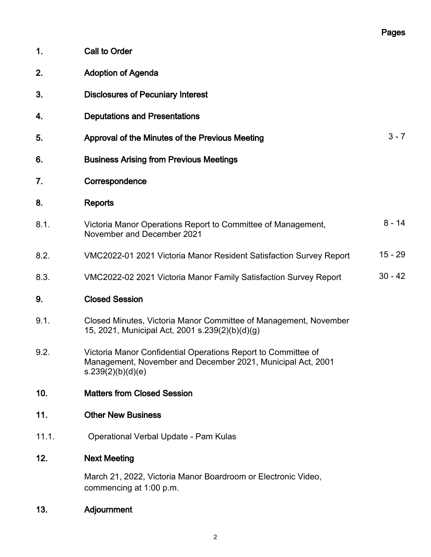|                 |                                                                                                                                                   | Pages     |
|-----------------|---------------------------------------------------------------------------------------------------------------------------------------------------|-----------|
| 1.              | <b>Call to Order</b>                                                                                                                              |           |
| 2.              | <b>Adoption of Agenda</b>                                                                                                                         |           |
| 3.              | <b>Disclosures of Pecuniary Interest</b>                                                                                                          |           |
| 4.              | <b>Deputations and Presentations</b>                                                                                                              |           |
| 5.              | Approval of the Minutes of the Previous Meeting                                                                                                   | $3 - 7$   |
| 6.              | <b>Business Arising from Previous Meetings</b>                                                                                                    |           |
| 7.              | Correspondence                                                                                                                                    |           |
| 8.              | <b>Reports</b>                                                                                                                                    |           |
| 8.1.            | Victoria Manor Operations Report to Committee of Management,<br>November and December 2021                                                        | $8 - 14$  |
| 8.2.            | VMC2022-01 2021 Victoria Manor Resident Satisfaction Survey Report                                                                                | $15 - 29$ |
| 8.3.            | VMC2022-02 2021 Victoria Manor Family Satisfaction Survey Report                                                                                  | $30 - 42$ |
| 9.              | <b>Closed Session</b>                                                                                                                             |           |
| 9.1.            | Closed Minutes, Victoria Manor Committee of Management, November<br>15, 2021, Municipal Act, 2001 s.239(2)(b)(d)(g)                               |           |
| 9.2.            | Victoria Manor Confidential Operations Report to Committee of<br>Management, November and December 2021, Municipal Act, 2001<br>s.239(2)(b)(d)(e) |           |
| 10 <sub>1</sub> | <b>Matters from Closed Session</b>                                                                                                                |           |
| 11.             | <b>Other New Business</b>                                                                                                                         |           |
| 11.1.           | Operational Verbal Update - Pam Kulas                                                                                                             |           |
| 12.             | <b>Next Meeting</b>                                                                                                                               |           |
|                 | March 21, 2022, Victoria Manor Boardroom or Electronic Video,<br>commencing at 1:00 p.m.                                                          |           |

13. Adjournment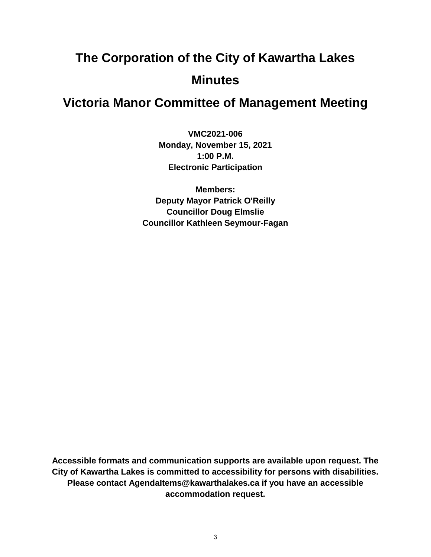# **The Corporation of the City of Kawartha Lakes Minutes**

# **Victoria Manor Committee of Management Meeting**

**VMC2021-006 Monday, November 15, 2021 1:00 P.M. Electronic Participation**

**Members: Deputy Mayor Patrick O'Reilly Councillor Doug Elmslie Councillor Kathleen Seymour-Fagan**

**Accessible formats and communication supports are available upon request. The City of Kawartha Lakes is committed to accessibility for persons with disabilities. Please contact AgendaItems@kawarthalakes.ca if you have an accessible accommodation request.**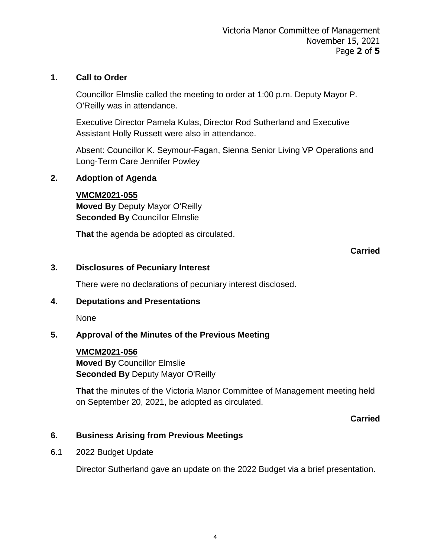## **1. Call to Order**

Councillor Elmslie called the meeting to order at 1:00 p.m. Deputy Mayor P. O'Reilly was in attendance.

Executive Director Pamela Kulas, Director Rod Sutherland and Executive Assistant Holly Russett were also in attendance.

Absent: Councillor K. Seymour-Fagan, Sienna Senior Living VP Operations and Long-Term Care Jennifer Powley

## **2. Adoption of Agenda**

## **VMCM2021-055**

**Moved By** Deputy Mayor O'Reilly **Seconded By** Councillor Elmslie

**That** the agenda be adopted as circulated.

## **Carried**

## **3. Disclosures of Pecuniary Interest**

There were no declarations of pecuniary interest disclosed.

#### **4. Deputations and Presentations**

None

# **5. Approval of the Minutes of the Previous Meeting**

## **VMCM2021-056 Moved By** Councillor Elmslie **Seconded By** Deputy Mayor O'Reilly

**That** the minutes of the Victoria Manor Committee of Management meeting held on September 20, 2021, be adopted as circulated.

#### **Carried**

#### **6. Business Arising from Previous Meetings**

6.1 2022 Budget Update

Director Sutherland gave an update on the 2022 Budget via a brief presentation.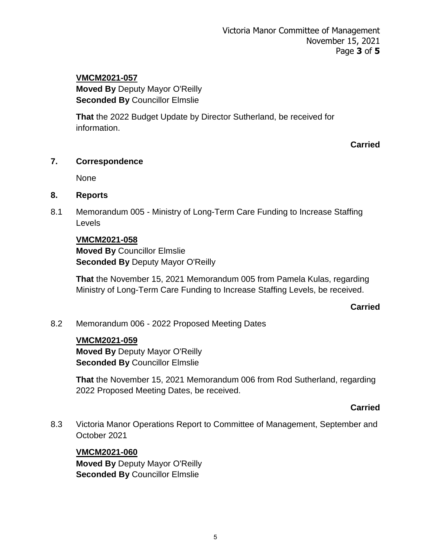# **VMCM2021-057**

**Moved By** Deputy Mayor O'Reilly **Seconded By** Councillor Elmslie

**That** the 2022 Budget Update by Director Sutherland, be received for information.

**Carried**

# **7. Correspondence**

None

## **8. Reports**

8.1 Memorandum 005 - Ministry of Long-Term Care Funding to Increase Staffing Levels

# **VMCM2021-058**

**Moved By** Councillor Elmslie **Seconded By** Deputy Mayor O'Reilly

**That** the November 15, 2021 Memorandum 005 from Pamela Kulas, regarding Ministry of Long-Term Care Funding to Increase Staffing Levels, be received.

#### **Carried**

8.2 Memorandum 006 - 2022 Proposed Meeting Dates

#### **VMCM2021-059**

**Moved By** Deputy Mayor O'Reilly **Seconded By** Councillor Elmslie

**That** the November 15, 2021 Memorandum 006 from Rod Sutherland, regarding 2022 Proposed Meeting Dates, be received.

#### **Carried**

8.3 Victoria Manor Operations Report to Committee of Management, September and October 2021

#### **VMCM2021-060**

**Moved By** Deputy Mayor O'Reilly **Seconded By** Councillor Elmslie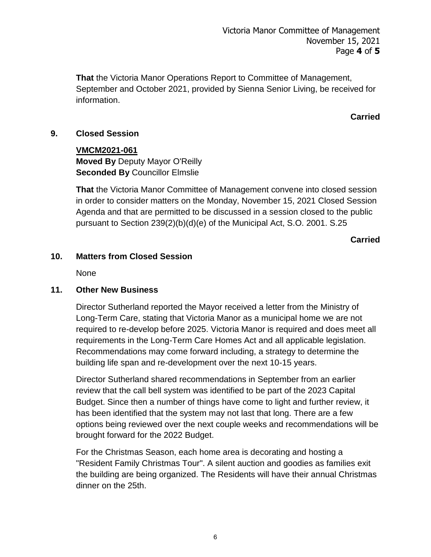**That** the Victoria Manor Operations Report to Committee of Management, September and October 2021, provided by Sienna Senior Living, be received for information.

# **Carried**

# **9. Closed Session**

**VMCM2021-061 Moved By** Deputy Mayor O'Reilly **Seconded By** Councillor Elmslie

**That** the Victoria Manor Committee of Management convene into closed session in order to consider matters on the Monday, November 15, 2021 Closed Session Agenda and that are permitted to be discussed in a session closed to the public pursuant to Section 239(2)(b)(d)(e) of the Municipal Act, S.O. 2001. S.25

**Carried**

## **10. Matters from Closed Session**

None

#### **11. Other New Business**

Director Sutherland reported the Mayor received a letter from the Ministry of Long-Term Care, stating that Victoria Manor as a municipal home we are not required to re-develop before 2025. Victoria Manor is required and does meet all requirements in the Long-Term Care Homes Act and all applicable legislation. Recommendations may come forward including, a strategy to determine the building life span and re-development over the next 10-15 years.

Director Sutherland shared recommendations in September from an earlier review that the call bell system was identified to be part of the 2023 Capital Budget. Since then a number of things have come to light and further review, it has been identified that the system may not last that long. There are a few options being reviewed over the next couple weeks and recommendations will be brought forward for the 2022 Budget.

For the Christmas Season, each home area is decorating and hosting a "Resident Family Christmas Tour". A silent auction and goodies as families exit the building are being organized. The Residents will have their annual Christmas dinner on the 25th.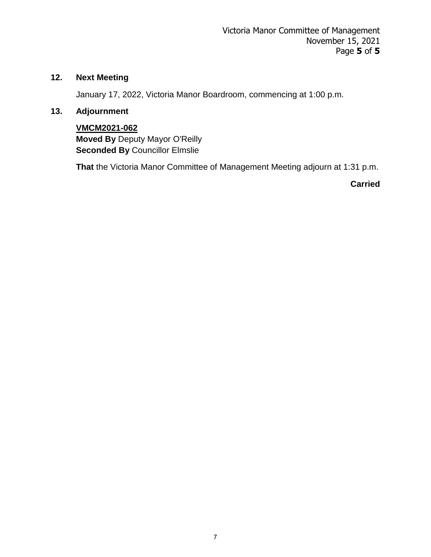# **12. Next Meeting**

January 17, 2022, Victoria Manor Boardroom, commencing at 1:00 p.m.

# **13. Adjournment**

**VMCM2021-062 Moved By** Deputy Mayor O'Reilly **Seconded By** Councillor Elmslie

**That** the Victoria Manor Committee of Management Meeting adjourn at 1:31 p.m.

**Carried**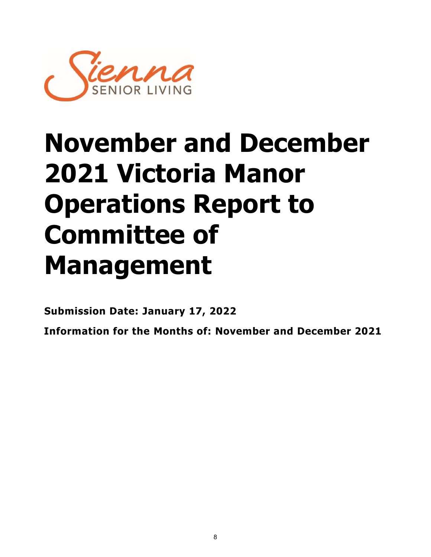

# **November and December 2021 Victoria Manor Operations Report to Committee of Management**

**Submission Date: January 17, 2022**

**Information for the Months of: November and December 2021**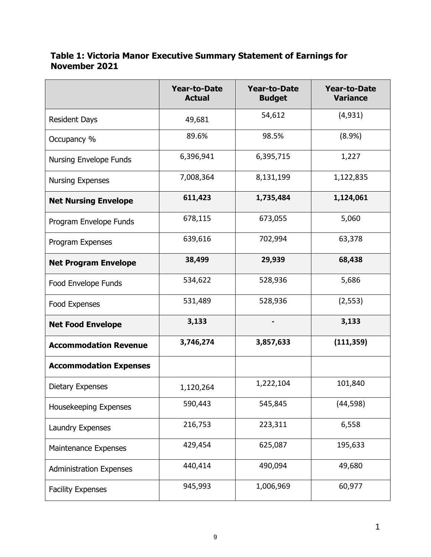## **Table 1: Victoria Manor Executive Summary Statement of Earnings for November 2021**

|                                | <b>Year-to-Date</b><br><b>Actual</b> | <b>Year-to-Date</b><br><b>Budget</b> | <b>Year-to-Date</b><br><b>Variance</b> |
|--------------------------------|--------------------------------------|--------------------------------------|----------------------------------------|
| <b>Resident Days</b>           | 49,681                               | 54,612                               | (4,931)                                |
| Occupancy %                    | 89.6%                                | 98.5%                                | (8.9%)                                 |
| <b>Nursing Envelope Funds</b>  | 6,396,941                            | 6,395,715                            | 1,227                                  |
| <b>Nursing Expenses</b>        | 7,008,364                            | 8,131,199                            | 1,122,835                              |
| <b>Net Nursing Envelope</b>    | 611,423                              | 1,735,484                            | 1,124,061                              |
| Program Envelope Funds         | 678,115                              | 673,055                              | 5,060                                  |
| Program Expenses               | 639,616                              | 702,994                              | 63,378                                 |
| <b>Net Program Envelope</b>    | 38,499                               | 29,939                               | 68,438                                 |
| Food Envelope Funds            | 534,622                              | 528,936                              | 5,686                                  |
| Food Expenses                  | 531,489                              | 528,936                              | (2, 553)                               |
| <b>Net Food Envelope</b>       | 3,133                                |                                      | 3,133                                  |
| <b>Accommodation Revenue</b>   | 3,746,274                            | 3,857,633                            | (111, 359)                             |
| <b>Accommodation Expenses</b>  |                                      |                                      |                                        |
| <b>Dietary Expenses</b>        | 1,120,264                            | 1,222,104                            | 101,840                                |
| Housekeeping Expenses          | 590,443                              | 545,845                              | (44, 598)                              |
| Laundry Expenses               | 216,753                              | 223,311                              | 6,558                                  |
| Maintenance Expenses           | 429,454                              | 625,087                              | 195,633                                |
| <b>Administration Expenses</b> | 440,414                              | 490,094                              | 49,680                                 |
| <b>Facility Expenses</b>       | 945,993                              | 1,006,969                            | 60,977                                 |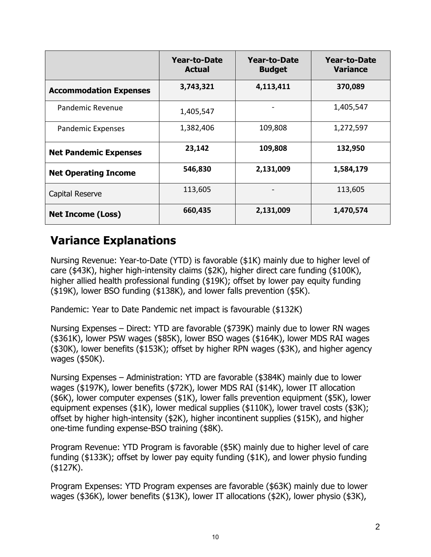|                               | <b>Year-to-Date</b><br><b>Actual</b> | <b>Year-to-Date</b><br><b>Budget</b> | <b>Year-to-Date</b><br>Variance |
|-------------------------------|--------------------------------------|--------------------------------------|---------------------------------|
| <b>Accommodation Expenses</b> | 3,743,321                            | 4,113,411                            | 370,089                         |
| Pandemic Revenue              | 1,405,547                            |                                      | 1,405,547                       |
| Pandemic Expenses             | 1,382,406                            | 109,808                              | 1,272,597                       |
| <b>Net Pandemic Expenses</b>  | 23,142                               | 109,808                              | 132,950                         |
| <b>Net Operating Income</b>   | 546,830                              | 2,131,009                            | 1,584,179                       |
| Capital Reserve               | 113,605                              |                                      | 113,605                         |
| <b>Net Income (Loss)</b>      | 660,435                              | 2,131,009                            | 1,470,574                       |

# **Variance Explanations**

Nursing Revenue: Year-to-Date (YTD) is favorable (\$1K) mainly due to higher level of care (\$43K), higher high-intensity claims (\$2K), higher direct care funding (\$100K), higher allied health professional funding (\$19K); offset by lower pay equity funding (\$19K), lower BSO funding (\$138K), and lower falls prevention (\$5K).

Pandemic: Year to Date Pandemic net impact is favourable (\$132K)

Nursing Expenses – Direct: YTD are favorable (\$739K) mainly due to lower RN wages (\$361K), lower PSW wages (\$85K), lower BSO wages (\$164K), lower MDS RAI wages (\$30K), lower benefits (\$153K); offset by higher RPN wages (\$3K), and higher agency wages (\$50K).

Nursing Expenses – Administration: YTD are favorable (\$384K) mainly due to lower wages (\$197K), lower benefits (\$72K), lower MDS RAI (\$14K), lower IT allocation (\$6K), lower computer expenses (\$1K), lower falls prevention equipment (\$5K), lower equipment expenses (\$1K), lower medical supplies (\$110K), lower travel costs (\$3K); offset by higher high-intensity (\$2K), higher incontinent supplies (\$15K), and higher one-time funding expense-BSO training (\$8K).

Program Revenue: YTD Program is favorable (\$5K) mainly due to higher level of care funding (\$133K); offset by lower pay equity funding (\$1K), and lower physio funding (\$127K).

Program Expenses: YTD Program expenses are favorable (\$63K) mainly due to lower wages (\$36K), lower benefits (\$13K), lower IT allocations (\$2K), lower physio (\$3K),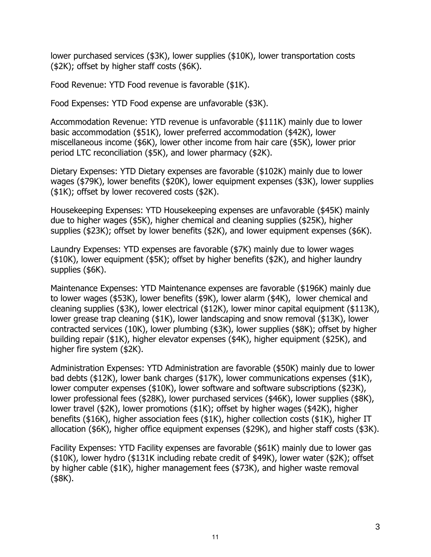lower purchased services (\$3K), lower supplies (\$10K), lower transportation costs (\$2K); offset by higher staff costs (\$6K).

Food Revenue: YTD Food revenue is favorable (\$1K).

Food Expenses: YTD Food expense are unfavorable (\$3K).

Accommodation Revenue: YTD revenue is unfavorable (\$111K) mainly due to lower basic accommodation (\$51K), lower preferred accommodation (\$42K), lower miscellaneous income (\$6K), lower other income from hair care (\$5K), lower prior period LTC reconciliation (\$5K), and lower pharmacy (\$2K).

Dietary Expenses: YTD Dietary expenses are favorable (\$102K) mainly due to lower wages (\$79K), lower benefits (\$20K), lower equipment expenses (\$3K), lower supplies (\$1K); offset by lower recovered costs (\$2K).

Housekeeping Expenses: YTD Housekeeping expenses are unfavorable (\$45K) mainly due to higher wages (\$5K), higher chemical and cleaning supplies (\$25K), higher supplies (\$23K); offset by lower benefits (\$2K), and lower equipment expenses (\$6K).

Laundry Expenses: YTD expenses are favorable (\$7K) mainly due to lower wages (\$10K), lower equipment (\$5K); offset by higher benefits (\$2K), and higher laundry supplies (\$6K).

Maintenance Expenses: YTD Maintenance expenses are favorable (\$196K) mainly due to lower wages (\$53K), lower benefits (\$9K), lower alarm (\$4K), lower chemical and cleaning supplies (\$3K), lower electrical (\$12K), lower minor capital equipment (\$113K), lower grease trap cleaning (\$1K), lower landscaping and snow removal (\$13K), lower contracted services (10K), lower plumbing (\$3K), lower supplies (\$8K); offset by higher building repair (\$1K), higher elevator expenses (\$4K), higher equipment (\$25K), and higher fire system (\$2K).

Administration Expenses: YTD Administration are favorable (\$50K) mainly due to lower bad debts (\$12K), lower bank charges (\$17K), lower communications expenses (\$1K), lower computer expenses (\$10K), lower software and software subscriptions (\$23K), lower professional fees (\$28K), lower purchased services (\$46K), lower supplies (\$8K), lower travel (\$2K), lower promotions (\$1K); offset by higher wages (\$42K), higher benefits (\$16K), higher association fees (\$1K), higher collection costs (\$1K), higher IT allocation (\$6K), higher office equipment expenses (\$29K), and higher staff costs (\$3K).

Facility Expenses: YTD Facility expenses are favorable (\$61K) mainly due to lower gas (\$10K), lower hydro (\$131K including rebate credit of \$49K), lower water (\$2K); offset by higher cable (\$1K), higher management fees (\$73K), and higher waste removal (\$8K).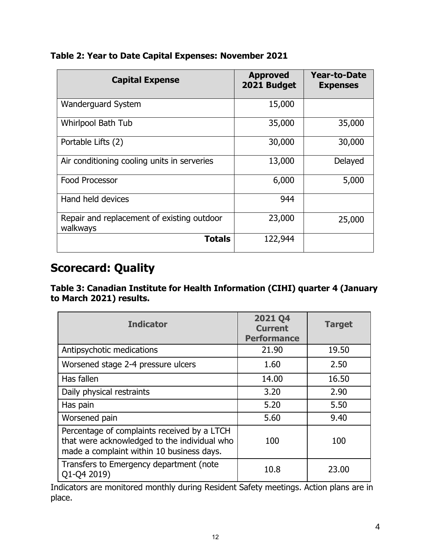| <b>Capital Expense</b>                                 | <b>Approved</b><br>2021 Budget | <b>Year-to-Date</b><br><b>Expenses</b> |
|--------------------------------------------------------|--------------------------------|----------------------------------------|
| <b>Wanderguard System</b>                              | 15,000                         |                                        |
| <b>Whirlpool Bath Tub</b>                              | 35,000                         | 35,000                                 |
| Portable Lifts (2)                                     | 30,000                         | 30,000                                 |
| Air conditioning cooling units in serveries            | 13,000                         | Delayed                                |
| <b>Food Processor</b>                                  | 6,000                          | 5,000                                  |
| Hand held devices                                      | 944                            |                                        |
| Repair and replacement of existing outdoor<br>walkways | 23,000                         | 25,000                                 |
| <b>Totals</b>                                          | 122,944                        |                                        |

# **Table 2: Year to Date Capital Expenses: November 2021**

# **Scorecard: Quality**

**Table 3: Canadian Institute for Health Information (CIHI) quarter 4 (January to March 2021) results.**

| <b>Indicator</b>                                                                                                                         | <b>2021 Q4</b><br><b>Current</b><br><b>Performance</b> | <b>Target</b> |
|------------------------------------------------------------------------------------------------------------------------------------------|--------------------------------------------------------|---------------|
| Antipsychotic medications                                                                                                                | 21.90                                                  | 19.50         |
| Worsened stage 2-4 pressure ulcers                                                                                                       | 1.60                                                   | 2.50          |
| Has fallen                                                                                                                               | 14.00                                                  | 16.50         |
| Daily physical restraints                                                                                                                | 3.20                                                   | 2.90          |
| Has pain                                                                                                                                 | 5.20                                                   | 5.50          |
| Worsened pain                                                                                                                            | 5.60                                                   | 9.40          |
| Percentage of complaints received by a LTCH<br>that were acknowledged to the individual who<br>made a complaint within 10 business days. | 100                                                    | 100           |
| Transfers to Emergency department (note<br>Q1-Q4 2019)                                                                                   | 10.8                                                   | 23.00         |

Indicators are monitored monthly during Resident Safety meetings. Action plans are in place.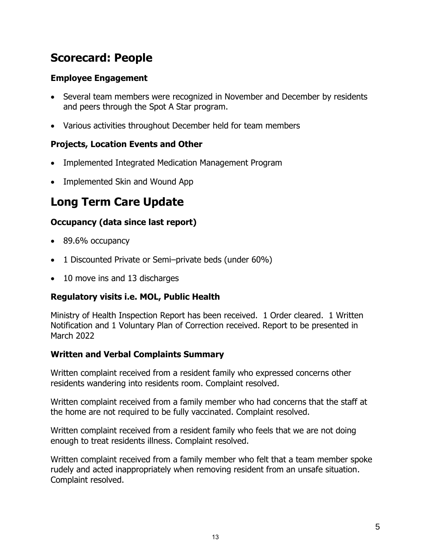# **Scorecard: People**

# **Employee Engagement**

- Several team members were recognized in November and December by residents and peers through the Spot A Star program.
- Various activities throughout December held for team members

# **Projects, Location Events and Other**

- Implemented Integrated Medication Management Program
- Implemented Skin and Wound App

# **Long Term Care Update**

# **Occupancy (data since last report)**

- 89.6% occupancy
- 1 Discounted Private or Semi-private beds (under 60%)
- 10 move ins and 13 discharges

# **Regulatory visits i.e. MOL, Public Health**

Ministry of Health Inspection Report has been received. 1 Order cleared. 1 Written Notification and 1 Voluntary Plan of Correction received. Report to be presented in March 2022

# **Written and Verbal Complaints Summary**

Written complaint received from a resident family who expressed concerns other residents wandering into residents room. Complaint resolved.

Written complaint received from a family member who had concerns that the staff at the home are not required to be fully vaccinated. Complaint resolved.

Written complaint received from a resident family who feels that we are not doing enough to treat residents illness. Complaint resolved.

Written complaint received from a family member who felt that a team member spoke rudely and acted inappropriately when removing resident from an unsafe situation. Complaint resolved.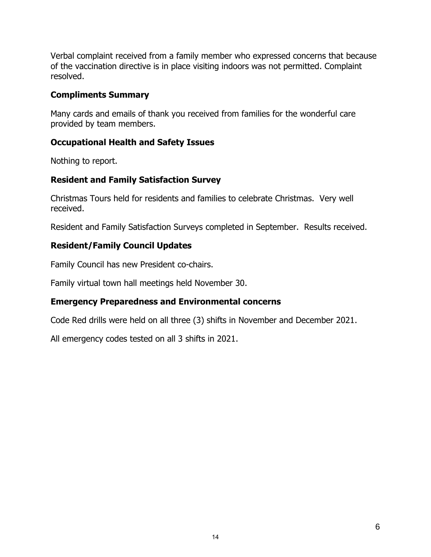Verbal complaint received from a family member who expressed concerns that because of the vaccination directive is in place visiting indoors was not permitted. Complaint resolved.

## **Compliments Summary**

Many cards and emails of thank you received from families for the wonderful care provided by team members.

# **Occupational Health and Safety Issues**

Nothing to report.

# **Resident and Family Satisfaction Survey**

Christmas Tours held for residents and families to celebrate Christmas. Very well received.

Resident and Family Satisfaction Surveys completed in September. Results received.

# **Resident/Family Council Updates**

Family Council has new President co-chairs.

Family virtual town hall meetings held November 30.

# **Emergency Preparedness and Environmental concerns**

Code Red drills were held on all three (3) shifts in November and December 2021.

All emergency codes tested on all 3 shifts in 2021.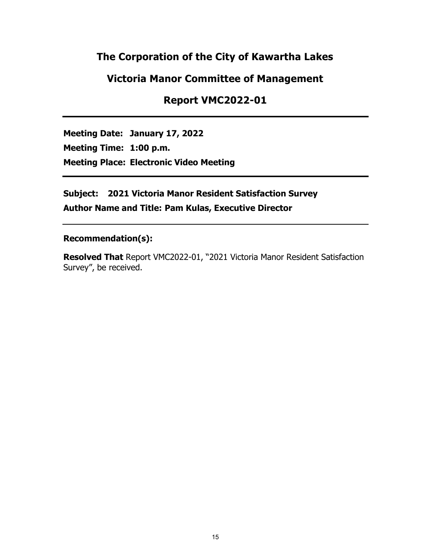# **The Corporation of the City of Kawartha Lakes**

# **Victoria Manor Committee of Management**

# **Report VMC2022-01**

**Meeting Date: January 17, 2022 Meeting Time: 1:00 p.m. Meeting Place: Electronic Video Meeting**

**Subject: 2021 Victoria Manor Resident Satisfaction Survey Author Name and Title: Pam Kulas, Executive Director**

#### **Recommendation(s):**

**Resolved That** Report VMC2022-01, "2021 Victoria Manor Resident Satisfaction Survey", be received.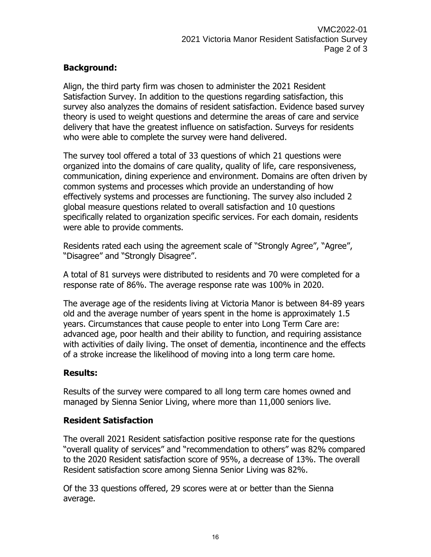# **Background:**

Align, the third party firm was chosen to administer the 2021 Resident Satisfaction Survey. In addition to the questions regarding satisfaction, this survey also analyzes the domains of resident satisfaction. Evidence based survey theory is used to weight questions and determine the areas of care and service delivery that have the greatest influence on satisfaction. Surveys for residents who were able to complete the survey were hand delivered.

The survey tool offered a total of 33 questions of which 21 questions were organized into the domains of care quality, quality of life, care responsiveness, communication, dining experience and environment. Domains are often driven by common systems and processes which provide an understanding of how effectively systems and processes are functioning. The survey also included 2 global measure questions related to overall satisfaction and 10 questions specifically related to organization specific services. For each domain, residents were able to provide comments.

Residents rated each using the agreement scale of "Strongly Agree", "Agree", "Disagree" and "Strongly Disagree".

A total of 81 surveys were distributed to residents and 70 were completed for a response rate of 86%. The average response rate was 100% in 2020.

The average age of the residents living at Victoria Manor is between 84-89 years old and the average number of years spent in the home is approximately 1.5 years. Circumstances that cause people to enter into Long Term Care are: advanced age, poor health and their ability to function, and requiring assistance with activities of daily living. The onset of dementia, incontinence and the effects of a stroke increase the likelihood of moving into a long term care home.

# **Results:**

Results of the survey were compared to all long term care homes owned and managed by Sienna Senior Living, where more than 11,000 seniors live.

# **Resident Satisfaction**

The overall 2021 Resident satisfaction positive response rate for the questions "overall quality of services" and "recommendation to others" was 82% compared to the 2020 Resident satisfaction score of 95%, a decrease of 13%. The overall Resident satisfaction score among Sienna Senior Living was 82%.

Of the 33 questions offered, 29 scores were at or better than the Sienna average.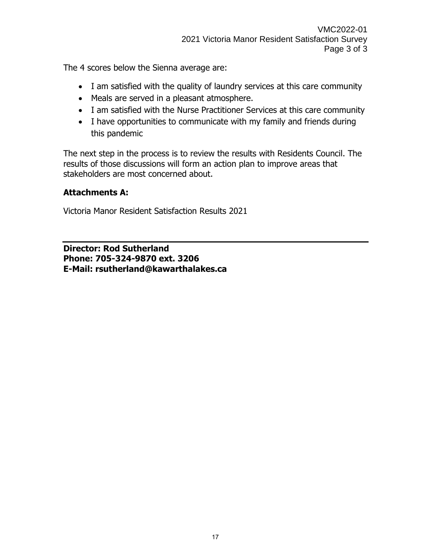The 4 scores below the Sienna average are:

- I am satisfied with the quality of laundry services at this care community
- Meals are served in a pleasant atmosphere.
- I am satisfied with the Nurse Practitioner Services at this care community
- I have opportunities to communicate with my family and friends during this pandemic

The next step in the process is to review the results with Residents Council. The results of those discussions will form an action plan to improve areas that stakeholders are most concerned about.

# **Attachments A:**

Victoria Manor Resident Satisfaction Results 2021

**Director: Rod Sutherland Phone: 705-324-9870 ext. 3206 E-Mail: rsutherland@kawarthalakes.ca**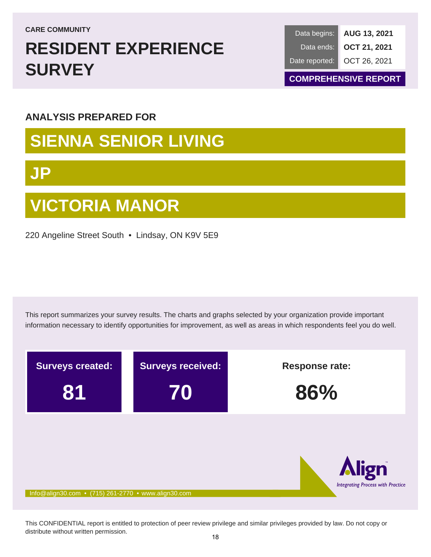**CARE COMMUNITY**

# **RESIDENT EXPERIENCE SURVEY**

**AUG 13, 2021 OCT 21, 2021** OCT 26, 2021 Data begins: Data ends: Date reported:

**COMPREHENSIVE REPORT**

# **ANALYSIS PREPARED FOR**

# **SIENNA SENIOR LIVING**

# **JP**

# **VICTORIA MANOR**

220 Angeline Street South • Lindsay, ON K9V 5E9

This report summarizes your survey results. The charts and graphs selected by your organization provide important information necessary to identify opportunities for improvement, as well as areas in which respondents feel you do well.



This CONFIDENTIAL report is entitled to protection of peer review privilege and similar privileges provided by law. Do not copy or distribute without written permission.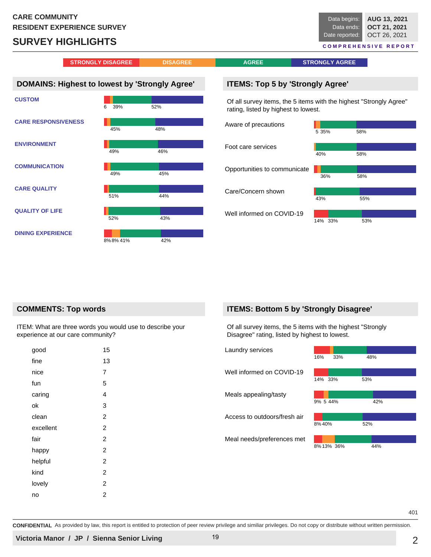# **SURVEY HIGHLIGHTS**



**QUALITY OF LIFE**

**DINING EXPERIENCE**

# 52% 43% 8%8% 41% 42%

# Of all survey items, the 5 items with the highest "Strongly

**ITEMS: Bottom 5 by 'Strongly Disagree'**

Disagree" rating, listed by highest to lowest.

14% 33% 53%

Well informed on COVID-19

| Laundry services             | 16%<br>33% | 48% |
|------------------------------|------------|-----|
| Well informed on COVID-19    | 14% 33%    | 53% |
| Meals appealing/tasty        | 9% 5 44%   | 42% |
| Access to outdoors/fresh air | 8% 40%     | 52% |
| Meal needs/preferences met   | 8% 13% 36% | 44% |
|                              |            |     |

#### **COMMENTS: Top words**

ITEM: What are three words you would use to describe your experience at our care community?

| good      | 15             |
|-----------|----------------|
| fine      | 13             |
| nice      | 7              |
| fun       | 5              |
| caring    | 4              |
| ok        | 3              |
| clean     | 2              |
| excellent | $\overline{2}$ |
| fair      | $\overline{2}$ |
| happy     | 2              |
| helpful   | $\overline{2}$ |
| kind      | $\overline{2}$ |
| lovely    | 2              |
| no        | 2              |
|           |                |

401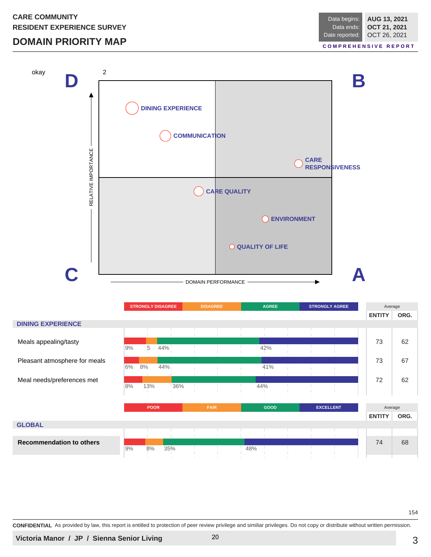# **DOMAIN PRIORITY MAP**

**AUG 13, 2021 OCT 21, 2021** OCT 26, 2021 Data begins: Data ends: Date reported:

**C O M P R E H E N S I V E R E P O R T**



|                                 |    | <b>STRONGLY DISAGREE</b>                                       |  |     | <b>DISAGREE</b> |             |     | <b>AGREE</b> |  |  | <b>STRONGLY AGREE</b> | Average       |         |  |
|---------------------------------|----|----------------------------------------------------------------|--|-----|-----------------|-------------|-----|--------------|--|--|-----------------------|---------------|---------|--|
|                                 |    |                                                                |  |     |                 |             |     |              |  |  | <b>ENTITY</b>         | ORG.          |         |  |
| <b>DINING EXPERIENCE</b>        |    |                                                                |  |     |                 |             |     |              |  |  |                       |               |         |  |
|                                 |    |                                                                |  |     |                 |             |     |              |  |  |                       |               |         |  |
| Meals appealing/tasty           |    |                                                                |  |     |                 |             |     |              |  |  |                       | 73            | 62      |  |
|                                 |    |                                                                |  |     |                 |             |     | 42%          |  |  |                       |               |         |  |
| Pleasant atmosphere for meals   |    |                                                                |  |     |                 |             |     |              |  |  |                       | 73            | 67      |  |
|                                 | 6% | 8%                                                             |  |     |                 |             |     | 41%          |  |  |                       |               |         |  |
|                                 |    |                                                                |  |     |                 |             |     |              |  |  |                       | 72            | 62      |  |
| Meal needs/preferences met      | 8% |                                                                |  | 36% |                 |             |     | 44%          |  |  |                       |               |         |  |
|                                 |    |                                                                |  |     |                 |             |     |              |  |  |                       |               |         |  |
|                                 |    | 5<br>9%<br>44%<br>44%<br>13%<br><b>POOR</b><br>8%<br>9%<br>35% |  |     |                 |             |     |              |  |  |                       |               |         |  |
|                                 |    |                                                                |  |     |                 | <b>FAIR</b> |     | GOOD         |  |  | <b>EXCELLENT</b>      |               | Average |  |
|                                 |    |                                                                |  |     |                 |             |     |              |  |  |                       | <b>ENTITY</b> | ORG.    |  |
| <b>GLOBAL</b>                   |    |                                                                |  |     |                 |             |     |              |  |  |                       |               |         |  |
|                                 |    |                                                                |  |     |                 |             |     |              |  |  |                       |               |         |  |
| <b>Recommendation to others</b> |    |                                                                |  |     |                 |             |     |              |  |  |                       | 74            | 68      |  |
|                                 |    |                                                                |  |     |                 |             |     |              |  |  |                       |               |         |  |
|                                 |    |                                                                |  |     |                 |             | 48% |              |  |  |                       |               |         |  |

154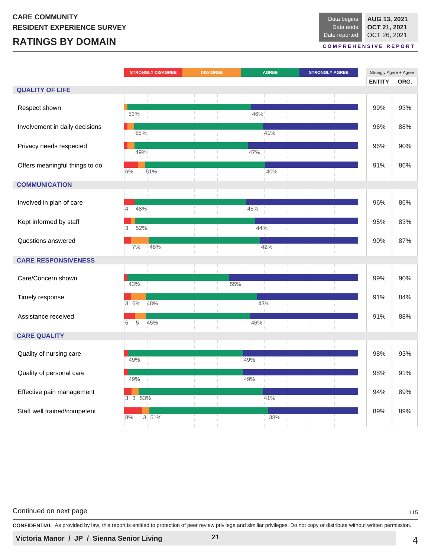# **RATINGS BY DOMAIN**

| Data begins:   | AUG 13, 2021 |
|----------------|--------------|
| Data ends:     | OCT 21, 2021 |
| Date reported: | OCT 26, 2021 |

**C O M P R E H E N S I V E R E P O R T**

|                                |                       | <b>STRONGLY DISAGREE</b> | <b>DISAGREE</b> |     |     | <b>AGREE</b> |  | <b>STRONGLY AGREE</b> | Strongly Agree + Agree |      |
|--------------------------------|-----------------------|--------------------------|-----------------|-----|-----|--------------|--|-----------------------|------------------------|------|
|                                |                       |                          |                 |     |     |              |  |                       | <b>ENTITY</b>          | ORG. |
| <b>QUALITY OF LIFE</b>         |                       |                          |                 |     |     |              |  |                       |                        |      |
|                                |                       |                          |                 |     |     |              |  |                       |                        |      |
| Respect shown                  |                       |                          |                 |     |     |              |  |                       | 99%                    | 93%  |
|                                | 53%                   |                          |                 |     | 46% |              |  |                       |                        |      |
| Involvement in daily decisions |                       |                          |                 |     |     |              |  |                       | 96%                    | 88%  |
|                                | 55%                   |                          |                 |     |     | 41%          |  |                       |                        |      |
| Privacy needs respected        |                       |                          |                 |     |     |              |  |                       | 96%                    | 90%  |
|                                | 49%                   |                          |                 |     | 47% |              |  |                       |                        |      |
|                                |                       |                          |                 |     |     |              |  |                       | 91%                    | 86%  |
| Offers meaningful things to do | 6%                    | 51%                      |                 |     |     | 40%          |  |                       |                        |      |
|                                |                       |                          |                 |     |     |              |  |                       |                        |      |
| <b>COMMUNICATION</b>           |                       |                          |                 |     |     |              |  |                       |                        |      |
|                                |                       |                          |                 |     |     |              |  |                       |                        |      |
| Involved in plan of care       | 48%<br>$\overline{4}$ |                          |                 |     | 48% |              |  |                       | 96%                    | 86%  |
|                                |                       |                          |                 |     |     |              |  |                       |                        |      |
| Kept informed by staff         |                       |                          |                 |     |     |              |  |                       | 95%                    | 83%  |
|                                | 52%<br>3              |                          |                 |     | 44% |              |  |                       |                        |      |
| Questions answered             |                       |                          |                 |     |     |              |  |                       | 90%                    | 87%  |
|                                | 7%                    | 48%                      |                 |     |     | 42%          |  |                       |                        |      |
| <b>CARE RESPONSIVENESS</b>     |                       |                          |                 |     |     |              |  |                       |                        |      |
|                                |                       |                          |                 |     |     |              |  |                       |                        |      |
| Care/Concern shown             |                       |                          |                 |     |     |              |  |                       | 99%                    | 90%  |
|                                | 43%                   |                          |                 | 55% |     |              |  |                       |                        |      |
|                                |                       |                          |                 |     |     |              |  |                       |                        |      |
| Timely response                | 3 6%                  | 48%                      |                 |     |     | 43%          |  |                       | 91%                    | 84%  |
|                                |                       |                          |                 |     |     |              |  |                       |                        |      |
| Assistance received            | 5<br>5                | 45%                      |                 |     | 46% |              |  |                       | 91%                    | 88%  |
|                                |                       |                          |                 |     |     |              |  |                       |                        |      |
| <b>CARE QUALITY</b>            |                       |                          |                 |     |     |              |  |                       |                        |      |
|                                |                       |                          |                 |     |     |              |  |                       |                        |      |
| Quality of nursing care        |                       |                          |                 |     |     |              |  |                       | 98%                    | 93%  |
|                                | 49%                   |                          |                 |     | 49% |              |  |                       |                        |      |
| Quality of personal care       |                       |                          |                 |     |     |              |  |                       | 98%                    | 91%  |
|                                | 49%                   |                          |                 |     | 49% |              |  |                       |                        |      |
| Effective pain management      |                       |                          |                 |     |     |              |  |                       | 94%                    | 89%  |
|                                | 3 3 53%               |                          |                 |     |     | 41%          |  | H.                    |                        |      |
|                                |                       |                          |                 |     |     |              |  |                       |                        |      |
| Staff well trained/competent   | 8%                    | 3 51%                    |                 |     |     | 38%          |  |                       | 89%                    | 89%  |
|                                |                       |                          |                 |     |     |              |  |                       |                        |      |

#### Continued on next page 115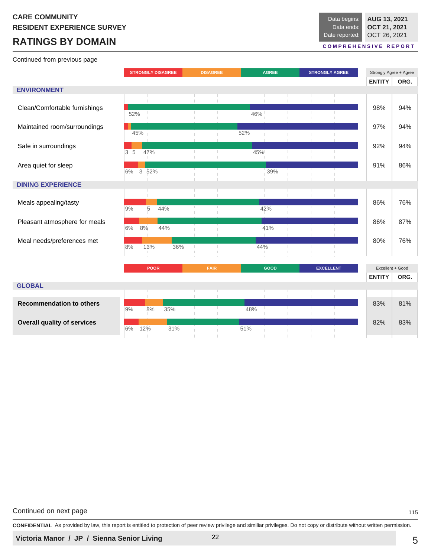# **RATINGS BY DOMAIN**

Continued from previous page

#### **C O M P R E H E N S I V E R E P O R T**

|                                    |     |                     | <b>STRONGLY DISAGREE</b> |           | <b>DISAGREE</b> |     | <b>AGREE</b> | <b>STRONGLY AGREE</b> |                | Strongly Agree + Agree |      |
|------------------------------------|-----|---------------------|--------------------------|-----------|-----------------|-----|--------------|-----------------------|----------------|------------------------|------|
|                                    |     |                     |                          |           |                 |     |              |                       |                | <b>ENTITY</b>          | ORG. |
| <b>ENVIRONMENT</b>                 |     |                     |                          |           |                 |     |              |                       |                |                        |      |
|                                    |     |                     |                          |           |                 |     |              |                       | $\mathbb{R}^n$ |                        |      |
| Clean/Comfortable furnishings      |     |                     |                          |           |                 |     |              |                       |                | 98%                    | 94%  |
|                                    | 52% |                     |                          |           |                 | 46% |              |                       |                |                        |      |
| Maintained room/surroundings       |     |                     |                          |           |                 |     |              |                       |                | 97%                    | 94%  |
|                                    | 45% |                     |                          |           |                 | 52% |              |                       |                |                        |      |
| Safe in surroundings               |     |                     |                          |           |                 |     |              |                       |                | 92%                    | 94%  |
|                                    | 3 5 | 47%                 |                          |           |                 |     | 45%          |                       |                |                        |      |
| Area quiet for sleep               |     |                     |                          |           |                 |     |              |                       |                | 91%                    | 86%  |
|                                    | 6%  | $\mathbf{3}$<br>52% |                          |           |                 |     | 39%          |                       |                |                        |      |
| <b>DINING EXPERIENCE</b>           |     |                     |                          |           |                 |     |              |                       |                |                        |      |
|                                    |     |                     |                          |           |                 |     |              |                       |                |                        |      |
|                                    |     |                     |                          |           |                 |     |              |                       |                | 86%                    | 76%  |
| Meals appealing/tasty              | 9%  | 5                   | 44%                      |           |                 |     | 42%          |                       |                |                        |      |
|                                    |     |                     |                          |           |                 |     |              |                       |                |                        |      |
| Pleasant atmosphere for meals      | 6%  | 8%                  | 44%                      |           |                 |     | 41%          |                       |                | 86%                    | 87%  |
|                                    |     |                     |                          |           |                 |     |              |                       |                |                        |      |
| Meal needs/preferences met         | 8%  | 13%                 |                          | 36%<br>T. | $\mathbb{R}$    |     | 44%          |                       |                | 80%                    | 76%  |
|                                    |     |                     |                          |           |                 |     |              |                       |                |                        |      |
|                                    |     |                     |                          |           |                 |     |              |                       |                |                        |      |
|                                    |     | <b>POOR</b>         |                          |           | FAIR            |     | GOOD         | <b>EXCELLENT</b>      |                | Excellent + Good       |      |
|                                    |     |                     |                          |           |                 |     |              |                       |                | <b>ENTITY</b>          | ORG. |
| <b>GLOBAL</b>                      |     |                     |                          |           |                 |     |              |                       |                |                        |      |
|                                    |     |                     |                          |           |                 |     |              |                       |                |                        |      |
| <b>Recommendation to others</b>    | 9%  | 8%                  | 35%                      |           |                 | 48% |              |                       |                | 83%                    | 81%  |
|                                    |     |                     |                          |           |                 |     |              |                       |                |                        |      |
| <b>Overall quality of services</b> | 6%  | 12%                 | 31%                      |           |                 | 51% |              |                       |                | 82%                    | 83%  |
|                                    |     |                     |                          |           |                 |     |              |                       |                |                        |      |

Continued on next page 115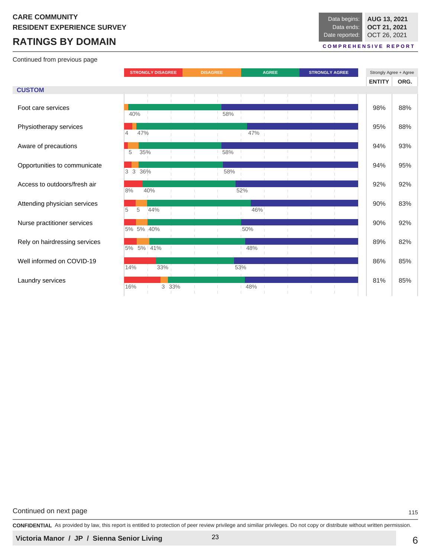# **RATINGS BY DOMAIN**

Continued from previous page

#### **C O M P R E H E N S I V E R E P O R T**

|                               |                          | <b>STRONGLY DISAGREE</b> |       | <b>DISAGREE</b> |     | <b>AGREE</b> |  |  | <b>STRONGLY AGREE</b> | Strongly Agree + Agree |      |
|-------------------------------|--------------------------|--------------------------|-------|-----------------|-----|--------------|--|--|-----------------------|------------------------|------|
|                               |                          |                          |       |                 |     |              |  |  |                       | <b>ENTITY</b>          | ORG. |
| <b>CUSTOM</b>                 |                          |                          |       |                 |     |              |  |  |                       |                        |      |
| Foot care services            | 40%                      |                          |       |                 | 58% |              |  |  |                       | 98%                    | 88%  |
| Physiotherapy services        | 47%<br>$\overline{4}$    |                          |       |                 |     | 47%          |  |  |                       | 95%                    | 88%  |
| Aware of precautions          | 35%<br>5                 |                          |       |                 | 58% |              |  |  |                       | 94%                    | 93%  |
| Opportunities to communicate  | 36%<br>$\mathbf{3}$<br>3 |                          |       |                 | 58% |              |  |  |                       | 94%                    | 95%  |
| Access to outdoors/fresh air  | 8%                       | 40%                      |       |                 |     | 52%          |  |  |                       | 92%                    | 92%  |
| Attending physician services  | 5<br>5                   | 44%                      |       |                 |     | 46%          |  |  |                       | 90%                    | 83%  |
| Nurse practitioner services   | 5% 5% 40%                |                          |       |                 |     | 50%          |  |  |                       | 90%                    | 92%  |
| Rely on hairdressing services | 5% 5% 41%                |                          |       |                 |     | 48%          |  |  |                       | 89%                    | 82%  |
| Well informed on COVID-19     | 14%                      | 33%                      |       |                 |     | 53%          |  |  |                       | 86%                    | 85%  |
| Laundry services              | 16%                      |                          | 3 33% |                 |     | 48%          |  |  |                       | 81%                    | 85%  |

Continued on next page 115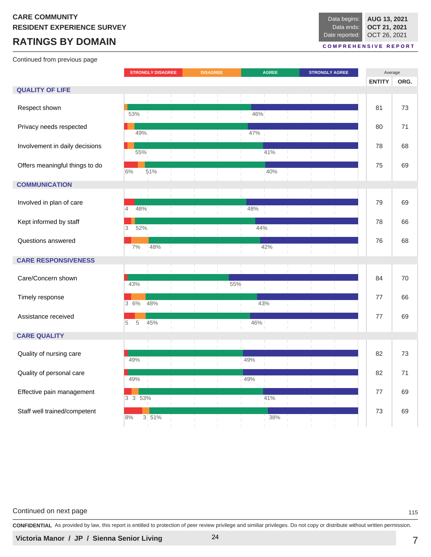# **RATINGS BY DOMAIN**

Continued from previous page

**C O M P R E H E N S I V E R E P O R T**

|                                |                       | <b>STRONGLY DISAGREE</b> | <b>DISAGREE</b> | <b>AGREE</b> |     |  | <b>STRONGLY AGREE</b> |                    | Average       |      |
|--------------------------------|-----------------------|--------------------------|-----------------|--------------|-----|--|-----------------------|--------------------|---------------|------|
|                                |                       |                          |                 |              |     |  |                       |                    | <b>ENTITY</b> | ORG. |
| <b>QUALITY OF LIFE</b>         |                       |                          |                 |              |     |  |                       |                    |               |      |
|                                |                       |                          |                 |              |     |  |                       | $\mathbf{1}$       |               |      |
| Respect shown                  |                       |                          |                 |              |     |  |                       |                    | 81            | 73   |
|                                | 53%                   |                          |                 | 46%          |     |  |                       |                    |               |      |
| Privacy needs respected        |                       |                          |                 |              |     |  |                       |                    | 80            | 71   |
|                                | 49%                   |                          |                 | 47%          |     |  |                       |                    |               |      |
|                                |                       |                          |                 |              |     |  |                       |                    | 78            |      |
| Involvement in daily decisions | 55%                   |                          |                 |              | 41% |  |                       |                    |               | 68   |
|                                |                       |                          |                 |              |     |  |                       |                    |               |      |
| Offers meaningful things to do | 51%<br>6%             |                          |                 |              | 40% |  |                       |                    | 75            | 69   |
|                                |                       |                          |                 |              |     |  |                       |                    |               |      |
| <b>COMMUNICATION</b>           |                       |                          |                 |              |     |  |                       |                    |               |      |
|                                |                       |                          |                 |              |     |  |                       |                    |               |      |
| Involved in plan of care       |                       |                          |                 |              |     |  |                       |                    | 79            | 69   |
|                                | 48%<br>$\overline{4}$ |                          |                 | 48%          |     |  |                       |                    |               |      |
| Kept informed by staff         |                       |                          |                 |              |     |  |                       |                    | 78            | 66   |
|                                | 52%<br>3              |                          |                 | 44%          |     |  |                       |                    |               |      |
|                                |                       |                          |                 |              |     |  |                       |                    |               |      |
| Questions answered             | 7%                    | 48%                      |                 |              | 42% |  |                       |                    | 76            | 68   |
|                                |                       |                          |                 |              |     |  |                       |                    |               |      |
| <b>CARE RESPONSIVENESS</b>     |                       |                          |                 |              |     |  |                       |                    |               |      |
|                                |                       |                          |                 |              |     |  |                       |                    |               |      |
| Care/Concern shown             |                       |                          |                 |              |     |  |                       |                    | 84            | 70   |
|                                | 43%                   |                          | 55%             |              |     |  |                       |                    |               |      |
| Timely response                |                       |                          |                 |              |     |  |                       |                    | 77            | 66   |
|                                | 3 6%                  | 48%                      |                 |              | 43% |  |                       |                    |               |      |
| Assistance received            |                       |                          |                 |              |     |  |                       |                    | 77            | 69   |
|                                | $\sqrt{5}$<br>5       | 45%                      |                 | 46%          |     |  |                       |                    |               |      |
|                                |                       |                          |                 |              |     |  |                       |                    |               |      |
| <b>CARE QUALITY</b>            |                       |                          |                 |              |     |  |                       |                    |               |      |
|                                |                       |                          |                 |              |     |  |                       |                    |               |      |
| Quality of nursing care        | 49%                   |                          |                 | 49%          |     |  |                       |                    | 82            | 73   |
|                                |                       |                          |                 |              |     |  |                       |                    |               |      |
| Quality of personal care       |                       |                          |                 |              |     |  |                       |                    | 82            | 71   |
|                                | 49%                   |                          |                 | 49%          |     |  |                       |                    |               |      |
| Effective pain management      |                       |                          |                 |              |     |  |                       |                    | 77            | 69   |
|                                | 3 3 53%               |                          |                 |              | 41% |  |                       | H.<br>$\mathbb{R}$ |               |      |
| Staff well trained/competent   |                       |                          |                 |              |     |  |                       |                    | 73            | 69   |
|                                | 8%                    | 3 51%                    |                 |              | 38% |  |                       |                    |               |      |
|                                |                       |                          |                 |              |     |  |                       |                    |               |      |

#### Continued on next page 115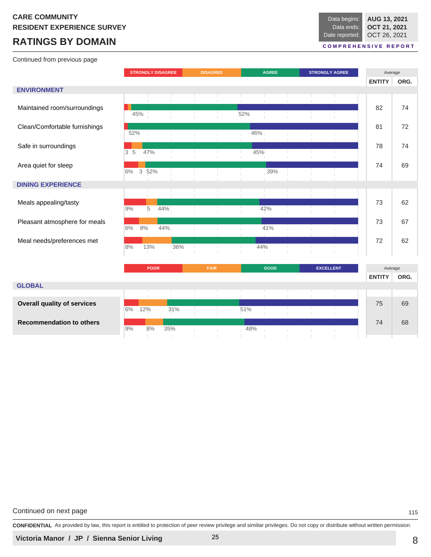# **RATINGS BY DOMAIN**

Continued from previous page

#### **C O M P R E H E N S I V E R E P O R T**

|                                    |                |             | <b>STRONGLY DISAGREE</b> |     | <b>DISAGREE</b> |     | <b>AGREE</b> |  | <b>STRONGLY AGREE</b> |                | Average       |      |
|------------------------------------|----------------|-------------|--------------------------|-----|-----------------|-----|--------------|--|-----------------------|----------------|---------------|------|
|                                    |                |             |                          |     |                 |     |              |  |                       |                | <b>ENTITY</b> | ORG. |
| <b>ENVIRONMENT</b>                 |                |             |                          |     |                 |     |              |  |                       |                |               |      |
|                                    |                |             |                          |     |                 |     |              |  |                       | $\mathbb{R}^n$ |               |      |
| Maintained room/surroundings       |                |             |                          |     |                 |     |              |  |                       |                | 82            | 74   |
|                                    | 45%            |             |                          |     |                 | 52% |              |  |                       |                |               |      |
| Clean/Comfortable furnishings      |                |             |                          |     |                 |     |              |  |                       |                | 81            | 72   |
|                                    | 52%            |             |                          |     |                 |     | 46%          |  |                       |                |               |      |
| Safe in surroundings               |                |             |                          |     |                 |     |              |  |                       |                | 78            | 74   |
|                                    | 3 <sub>5</sub> | 47%         |                          |     |                 |     | 45%          |  |                       |                |               |      |
|                                    |                |             |                          |     |                 |     |              |  |                       |                |               |      |
| Area quiet for sleep               | 6%             | 3<br>52%    |                          |     |                 |     | 39%          |  |                       |                | 74            | 69   |
|                                    |                |             |                          |     |                 |     |              |  |                       |                |               |      |
| <b>DINING EXPERIENCE</b>           |                |             |                          |     |                 |     |              |  |                       |                |               |      |
|                                    |                |             |                          |     |                 |     |              |  |                       |                |               |      |
| Meals appealing/tasty              |                |             |                          |     |                 |     |              |  |                       |                | 73            | 62   |
|                                    | 9%             | 5           | 44%                      |     | т.              |     | 42%          |  |                       |                |               |      |
| Pleasant atmosphere for meals      |                |             |                          |     |                 |     |              |  |                       |                | 73            | 67   |
|                                    | 6%             | 8%          | 44%                      |     |                 |     | 41%          |  |                       |                |               |      |
| Meal needs/preferences met         |                |             |                          |     |                 |     |              |  |                       |                | 72            | 62   |
|                                    | 8%             | 13%         |                          | 36% | T.              |     | 44%          |  |                       |                |               |      |
|                                    |                |             |                          |     |                 |     |              |  |                       |                |               |      |
|                                    |                | <b>POOR</b> |                          |     | <b>FAIR</b>     |     | <b>GOOD</b>  |  | <b>EXCELLENT</b>      |                | Average       |      |
|                                    |                |             |                          |     |                 |     |              |  |                       |                |               |      |
| <b>GLOBAL</b>                      |                |             |                          |     |                 |     |              |  |                       |                | <b>ENTITY</b> | ORG. |
|                                    |                |             |                          |     |                 |     |              |  |                       |                |               |      |
|                                    |                |             |                          |     |                 |     |              |  |                       |                |               |      |
| <b>Overall quality of services</b> | 6%             | 12%         |                          | 31% | u.              | 51% |              |  |                       |                | 75            | 69   |
|                                    |                |             |                          |     |                 |     |              |  |                       |                |               |      |
| <b>Recommendation to others</b>    | 9%             | 8%          |                          |     |                 | 48% |              |  |                       |                | 74            | 68   |
|                                    |                |             |                          | 35% |                 |     |              |  |                       |                |               |      |

Continued on next page 115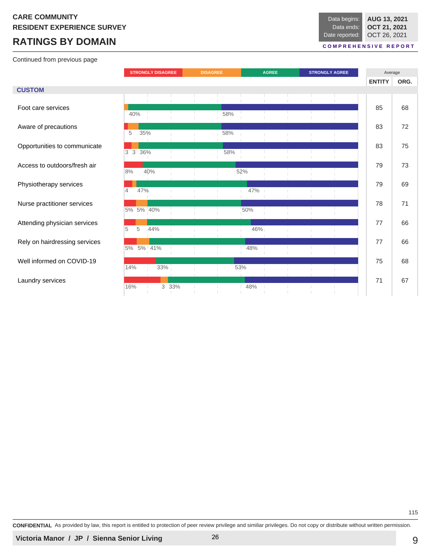# **RATINGS BY DOMAIN**

Continued from previous page

| Data begins:   | AUG 13, 2021 |
|----------------|--------------|
| Data ends:     | OCT 21, 2021 |
| Date reported: | OCT 26, 2021 |

#### **C O M P R E H E N S I V E R E P O R T**

|                               | <b>STRONGLY DISAGREE</b> | <b>DISAGREE</b> | <b>AGREE</b> | <b>STRONGLY AGREE</b> | Average       |      |
|-------------------------------|--------------------------|-----------------|--------------|-----------------------|---------------|------|
|                               |                          |                 |              |                       | <b>ENTITY</b> | ORG. |
| <b>CUSTOM</b>                 |                          |                 |              |                       |               |      |
|                               |                          |                 |              |                       |               |      |
| Foot care services            | 40%                      | 58%             |              |                       | 85            | 68   |
| Aware of precautions          | 35%<br>5                 | 58%             |              |                       | 83            | 72   |
| Opportunities to communicate  |                          |                 |              |                       | 83            | 75   |
|                               | 3 3 36%                  | 58%             |              |                       |               |      |
| Access to outdoors/fresh air  | 8%<br>40%                |                 | 52%          |                       | 79            | 73   |
| Physiotherapy services        |                          |                 |              |                       | 79            | 69   |
|                               | 47%<br>$\overline{4}$    |                 | 47%          |                       |               |      |
| Nurse practitioner services   | 5% 5% 40%                |                 | 50%          |                       | 78            | 71   |
| Attending physician services  | 5<br>5<br>44%            |                 | 46%          |                       | 77            | 66   |
| Rely on hairdressing services |                          |                 |              |                       | 77            | 66   |
|                               | 5% 5% 41%                |                 | 48%          |                       |               |      |
| Well informed on COVID-19     | 14%<br>33%               |                 | 53%          |                       | 75            | 68   |
| Laundry services              |                          |                 |              |                       | 71            | 67   |
|                               | 16%<br>3 33%             |                 | 48%          |                       |               |      |

**CONFIDENTIAL** As provided by law, this report is entitled to protection of peer review privilege and similiar privileges. Do not copy or distribute without written permission.

115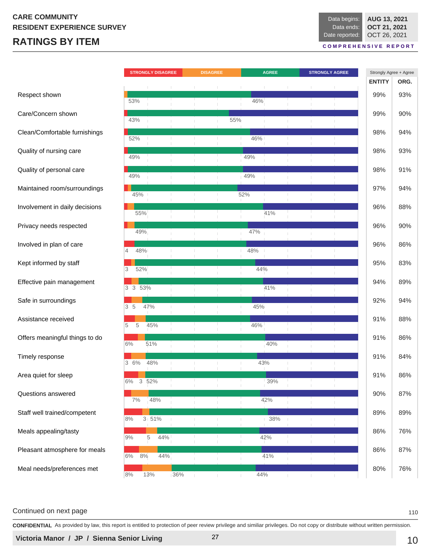# **RATINGS BY ITEM**

**AUG 13, 2021 OCT 21, 2021** OCT 26, 2021 Data begins: Data ends: Date reported:

**C O M P R E H E N S I V E R E P O R T**

|                                | <b>STRONGLY DISAGREE</b> | <b>DISAGREE</b>          | <b>AGREE</b>        | <b>STRONGLY AGREE</b> | Strongly Agree + Agree |      |  |
|--------------------------------|--------------------------|--------------------------|---------------------|-----------------------|------------------------|------|--|
|                                |                          |                          |                     |                       | <b>ENTITY</b>          | ORG. |  |
| Respect shown                  | 53%                      |                          | 46%                 |                       | 99%                    | 93%  |  |
| Care/Concern shown             |                          |                          |                     |                       | 99%                    | 90%  |  |
| Clean/Comfortable furnishings  | 43%                      | 55%                      |                     |                       | 98%                    | 94%  |  |
| Quality of nursing care        | 52%                      | т.<br>H.                 | 46%<br>$\mathbf{I}$ |                       | 98%                    | 93%  |  |
|                                | 49%                      |                          | 49%                 |                       |                        |      |  |
| Quality of personal care       | 49%                      |                          | 49%                 |                       | 98%                    | 91%  |  |
| Maintained room/surroundings   | 45%                      |                          | 52%                 |                       | 97%                    | 94%  |  |
| Involvement in daily decisions | 55%                      |                          | 41%                 |                       | 96%                    | 88%  |  |
| Privacy needs respected        | 49%                      |                          | 47%                 |                       | 96%                    | 90%  |  |
| Involved in plan of care       | 48%<br>$\overline{4}$    |                          | 48%                 |                       | 96%                    | 86%  |  |
| Kept informed by staff         | 52%<br>3                 |                          | 44%                 |                       | 95%                    | 83%  |  |
| Effective pain management      | 3 3 53%                  |                          | 41%                 |                       | 94%                    | 89%  |  |
| Safe in surroundings           |                          |                          |                     |                       | 92%                    | 94%  |  |
| Assistance received            | 3 <sub>5</sub><br>47%    |                          | 45%                 |                       | 91%                    | 88%  |  |
| Offers meaningful things to do | 45%<br>5<br>5            |                          | 46%                 |                       | 91%                    | 86%  |  |
|                                | 51%<br>6%                |                          | 40%                 |                       |                        |      |  |
| Timely response                | 48%<br>3 6%              |                          | 43%                 |                       | 91%                    | 84%  |  |
| Area quiet for sleep           | 3 52%<br>6%              | <b>H</b>                 | 39%                 |                       | 91%                    | 86%  |  |
| Questions answered             | 7%<br>48%                |                          | 42%                 |                       | 90%                    | 87%  |  |
| Staff well trained/competent   | $3:51\%$<br>8%           |                          | 38%                 |                       | 89%                    | 89%  |  |
| Meals appealing/tasty          | 5<br>44%<br>9%           |                          | 42%                 |                       | 86%                    | 76%  |  |
| Pleasant atmosphere for meals  | $8\%$<br>44%<br>6%       | $\overline{\phantom{a}}$ | 41%                 |                       | 86%                    | 87%  |  |
| Meal needs/preferences met     |                          |                          |                     |                       | 80%                    | 76%  |  |
|                                | 8%<br>13%<br>36%         | т.                       | 44%<br>т.           |                       |                        |      |  |

#### Continued on next page 110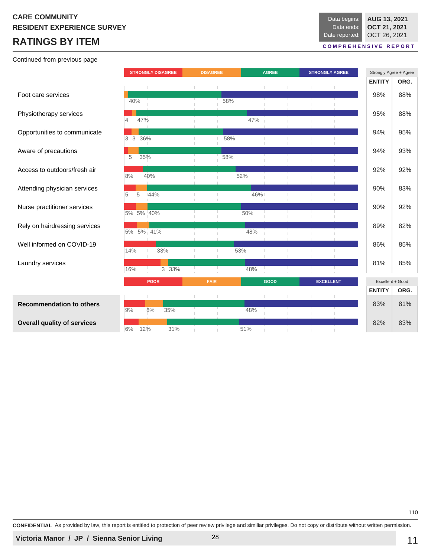# **RATINGS BY ITEM**

Continued from previous page

|                                    |                       | <b>STRONGLY DISAGREE</b> |       | <b>DISAGREE</b> |     |     | <b>AGREE</b> | <b>STRONGLY AGREE</b> | Strongly Agree + Agree<br><b>ENTITY</b> | ORG.        |
|------------------------------------|-----------------------|--------------------------|-------|-----------------|-----|-----|--------------|-----------------------|-----------------------------------------|-------------|
| Foot care services                 | 40%                   |                          |       |                 | 58% |     |              |                       | 98%                                     | 88%         |
| Physiotherapy services             | 47%<br>$\overline{4}$ |                          |       |                 |     | 47% |              |                       | 95%                                     | 88%         |
| Opportunities to communicate       | 3 3 36%               |                          |       |                 | 58% |     |              |                       | 94%                                     | 95%         |
| Aware of precautions               | 35%<br>5              |                          |       |                 | 58% |     |              |                       | 94%                                     | 93%         |
| Access to outdoors/fresh air       | 8%                    | 40%                      |       |                 |     | 52% |              |                       | 92%                                     | 92%         |
| Attending physician services       | 5<br>5                | 144%                     |       |                 |     | 46% |              |                       | 90%                                     | 83%         |
| Nurse practitioner services        | 5% 5% 40%             |                          |       |                 |     | 50% |              |                       | 90%                                     | 92%         |
| Rely on hairdressing services      | 5% 5% 41%             |                          |       |                 |     | 48% |              |                       | 89%                                     | 82%         |
| Well informed on COVID-19          | 14%                   | 33%                      |       |                 |     | 53% |              |                       | 86%                                     | 85%         |
| Laundry services                   | 16%                   |                          | 3 33% |                 |     | 48% |              |                       | 81%                                     | 85%         |
|                                    |                       | <b>POOR</b>              |       | <b>FAIR</b>     |     |     | <b>GOOD</b>  | <b>EXCELLENT</b>      | Excellent + Good                        |             |
| <b>Recommendation to others</b>    | 9%                    | 8%                       | 35%   |                 |     | 48% |              |                       | <b>ENTITY</b><br>83%                    | ORG.<br>81% |
| <b>Overall quality of services</b> | 6%                    | 12%                      | 31%   |                 |     | 51% |              |                       | 82%                                     | 83%         |

**CONFIDENTIAL** As provided by law, this report is entitled to protection of peer review privilege and similiar privileges. Do not copy or distribute without written permission.

110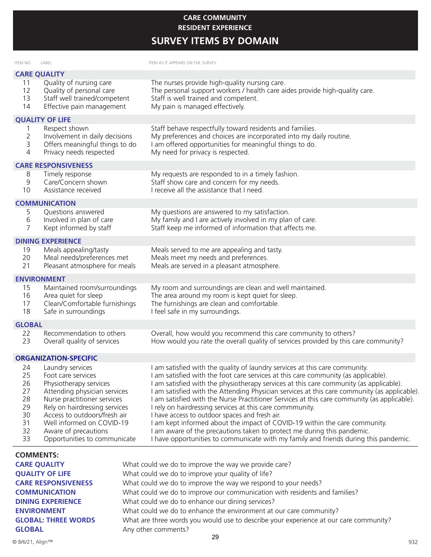#### **CARE COMMUNITY EMPLOYEE ENGAGEMENT RESIDENT EXPERIENCE**

**SURVEY ITEMS BY DOMAIN** 

| ITEM NO.                                                 | LABEL                                                                                                                                                                                                                                                                                 | ITEM AS IT APPEARS ON THE SURVEY                                                                                                                                                                                                                                                                                                                                                                                                                                                                                                                                                                                                                                                                                                                                                                                          |
|----------------------------------------------------------|---------------------------------------------------------------------------------------------------------------------------------------------------------------------------------------------------------------------------------------------------------------------------------------|---------------------------------------------------------------------------------------------------------------------------------------------------------------------------------------------------------------------------------------------------------------------------------------------------------------------------------------------------------------------------------------------------------------------------------------------------------------------------------------------------------------------------------------------------------------------------------------------------------------------------------------------------------------------------------------------------------------------------------------------------------------------------------------------------------------------------|
|                                                          | <b>CARE QUALITY</b>                                                                                                                                                                                                                                                                   |                                                                                                                                                                                                                                                                                                                                                                                                                                                                                                                                                                                                                                                                                                                                                                                                                           |
| 11<br>12<br>13<br>14                                     | Quality of nursing care<br>Quality of personal care<br>Staff well trained/competent<br>Effective pain management                                                                                                                                                                      | The nurses provide high-quality nursing care.<br>The personal support workers / health care aides provide high-quality care.<br>Staff is well trained and competent.<br>My pain is managed effectively.                                                                                                                                                                                                                                                                                                                                                                                                                                                                                                                                                                                                                   |
|                                                          | <b>QUALITY OF LIFE</b>                                                                                                                                                                                                                                                                |                                                                                                                                                                                                                                                                                                                                                                                                                                                                                                                                                                                                                                                                                                                                                                                                                           |
| 1<br>2<br>3<br>4                                         | Respect shown<br>Involvement in daily decisions<br>Offers meaningful things to do<br>Privacy needs respected                                                                                                                                                                          | Staff behave respectfully toward residents and families.<br>My preferences and choices are incorporated into my daily routine.<br>I am offered opportunities for meaningful things to do.<br>My need for privacy is respected.                                                                                                                                                                                                                                                                                                                                                                                                                                                                                                                                                                                            |
|                                                          | <b>CARE RESPONSIVENESS</b>                                                                                                                                                                                                                                                            |                                                                                                                                                                                                                                                                                                                                                                                                                                                                                                                                                                                                                                                                                                                                                                                                                           |
| 8<br>9<br>10                                             | Timely response<br>Care/Concern shown<br>Assistance received                                                                                                                                                                                                                          | My requests are responded to in a timely fashion.<br>Staff show care and concern for my needs.<br>I receive all the assistance that I need.                                                                                                                                                                                                                                                                                                                                                                                                                                                                                                                                                                                                                                                                               |
|                                                          | <b>COMMUNICATION</b>                                                                                                                                                                                                                                                                  |                                                                                                                                                                                                                                                                                                                                                                                                                                                                                                                                                                                                                                                                                                                                                                                                                           |
| 5<br>6<br>7                                              | Questions answered<br>Involved in plan of care<br>Kept informed by staff                                                                                                                                                                                                              | My questions are answered to my satisfaction.<br>My family and I are actively involved in my plan of care.<br>Staff keep me informed of information that affects me.                                                                                                                                                                                                                                                                                                                                                                                                                                                                                                                                                                                                                                                      |
|                                                          | <b>DINING EXPERIENCE</b>                                                                                                                                                                                                                                                              |                                                                                                                                                                                                                                                                                                                                                                                                                                                                                                                                                                                                                                                                                                                                                                                                                           |
| 19<br>20<br>21                                           | Meals appealing/tasty<br>Meal needs/preferences met<br>Pleasant atmosphere for meals                                                                                                                                                                                                  | Meals served to me are appealing and tasty.<br>Meals meet my needs and preferences.<br>Meals are served in a pleasant atmosphere.                                                                                                                                                                                                                                                                                                                                                                                                                                                                                                                                                                                                                                                                                         |
|                                                          | <b>ENVIRONMENT</b>                                                                                                                                                                                                                                                                    |                                                                                                                                                                                                                                                                                                                                                                                                                                                                                                                                                                                                                                                                                                                                                                                                                           |
| 15<br>16<br>17<br>18                                     | Maintained room/surroundings<br>Area quiet for sleep<br>Clean/Comfortable furnishings<br>Safe in surroundings                                                                                                                                                                         | My room and surroundings are clean and well maintained.<br>The area around my room is kept quiet for sleep.<br>The furnishings are clean and comfortable.<br>I feel safe in my surroundings.                                                                                                                                                                                                                                                                                                                                                                                                                                                                                                                                                                                                                              |
| <b>GLOBAL</b>                                            |                                                                                                                                                                                                                                                                                       |                                                                                                                                                                                                                                                                                                                                                                                                                                                                                                                                                                                                                                                                                                                                                                                                                           |
| 22<br>23                                                 | Recommendation to others<br>Overall quality of services                                                                                                                                                                                                                               | Overall, how would you recommend this care community to others?<br>How would you rate the overall quality of services provided by this care community?                                                                                                                                                                                                                                                                                                                                                                                                                                                                                                                                                                                                                                                                    |
|                                                          | <b>ORGANIZATION-SPECIFIC</b>                                                                                                                                                                                                                                                          |                                                                                                                                                                                                                                                                                                                                                                                                                                                                                                                                                                                                                                                                                                                                                                                                                           |
| 24<br>25<br>26<br>27<br>28<br>29<br>30<br>31<br>32<br>33 | Laundry services<br>Foot care services<br>Physiotherapy services<br>Attending physician services<br>Nurse practitioner services<br>Rely on hairdressing services<br>Access to outdoors/fresh air<br>Well informed on COVID-19<br>Aware of precautions<br>Opportunities to communicate | I am satisfied with the quality of laundry services at this care community.<br>I am satisfied with the foot care services at this care community (as applicable).<br>I am satisfied with the physiotherapy services at this care community (as applicable).<br>I am satisfied with the Attending Physician services at this care community (as applicable).<br>I am satisfied with the Nurse Practitioner Services at this care community (as applicable).<br>I rely on hairdressing services at this care commmunity.<br>I have access to outdoor spaces and fresh air.<br>I am kept informed about the impact of COVID-19 within the care community.<br>I am aware of the precautions taken to protect me during this pandemic.<br>I have opportunities to communicate with my family and friends during this pandemic. |
| <b>COMMENTS:</b>                                         |                                                                                                                                                                                                                                                                                       |                                                                                                                                                                                                                                                                                                                                                                                                                                                                                                                                                                                                                                                                                                                                                                                                                           |
|                                                          | <b>CARE QUALITY</b>                                                                                                                                                                                                                                                                   | What could we do to improve the way we provide care?                                                                                                                                                                                                                                                                                                                                                                                                                                                                                                                                                                                                                                                                                                                                                                      |
|                                                          | <b>QUALITY OF LIFE</b>                                                                                                                                                                                                                                                                | What could we do to improve your quality of life?                                                                                                                                                                                                                                                                                                                                                                                                                                                                                                                                                                                                                                                                                                                                                                         |
|                                                          | <b>CARE RESPONSIVENESS</b>                                                                                                                                                                                                                                                            | What could we do to improve the way we respond to your needs?                                                                                                                                                                                                                                                                                                                                                                                                                                                                                                                                                                                                                                                                                                                                                             |
|                                                          | <b>COMMUNICATION</b>                                                                                                                                                                                                                                                                  | What could we do to improve our communication with residents and families?                                                                                                                                                                                                                                                                                                                                                                                                                                                                                                                                                                                                                                                                                                                                                |
|                                                          | <b>DINING EXPERIENCE</b>                                                                                                                                                                                                                                                              | What could we do to enhance our dining services?                                                                                                                                                                                                                                                                                                                                                                                                                                                                                                                                                                                                                                                                                                                                                                          |

**GLOBAL** Any other comments?

**GLOBAL: THREE WORDS** What are three words you would use to describe your experience at our care community?

**ENVIRONMENT** What could we do to enhance the environment at our care community?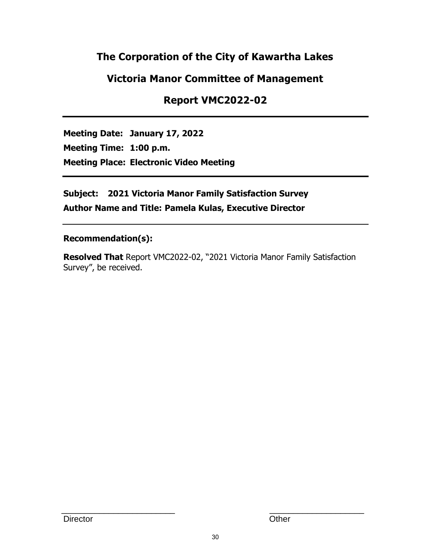# **The Corporation of the City of Kawartha Lakes**

# **Victoria Manor Committee of Management**

# **Report VMC2022-02**

**Meeting Date: January 17, 2022 Meeting Time: 1:00 p.m. Meeting Place: Electronic Video Meeting**

**Subject: 2021 Victoria Manor Family Satisfaction Survey Author Name and Title: Pamela Kulas, Executive Director**

# **Recommendation(s):**

**Resolved That** Report VMC2022-02, "2021 Victoria Manor Family Satisfaction Survey", be received.

\_\_\_\_\_\_\_\_\_\_\_\_\_\_\_\_\_\_\_\_\_\_\_\_ \_\_\_\_\_\_\_\_\_\_\_\_\_\_\_\_\_\_\_\_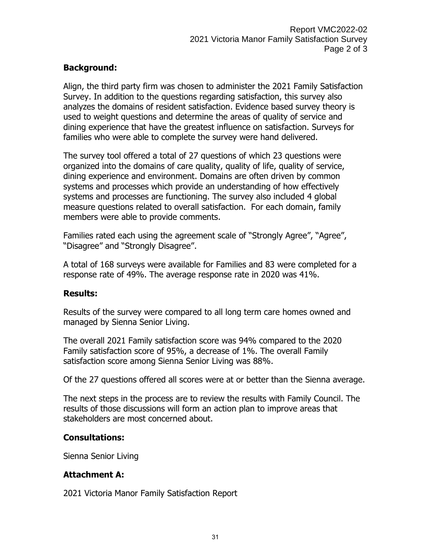# **Background:**

Align, the third party firm was chosen to administer the 2021 Family Satisfaction Survey. In addition to the questions regarding satisfaction, this survey also analyzes the domains of resident satisfaction. Evidence based survey theory is used to weight questions and determine the areas of quality of service and dining experience that have the greatest influence on satisfaction. Surveys for families who were able to complete the survey were hand delivered.

The survey tool offered a total of 27 questions of which 23 questions were organized into the domains of care quality, quality of life, quality of service, dining experience and environment. Domains are often driven by common systems and processes which provide an understanding of how effectively systems and processes are functioning. The survey also included 4 global measure questions related to overall satisfaction. For each domain, family members were able to provide comments.

Families rated each using the agreement scale of "Strongly Agree", "Agree", "Disagree" and "Strongly Disagree".

A total of 168 surveys were available for Families and 83 were completed for a response rate of 49%. The average response rate in 2020 was 41%.

# **Results:**

Results of the survey were compared to all long term care homes owned and managed by Sienna Senior Living.

The overall 2021 Family satisfaction score was 94% compared to the 2020 Family satisfaction score of 95%, a decrease of 1%. The overall Family satisfaction score among Sienna Senior Living was 88%.

Of the 27 questions offered all scores were at or better than the Sienna average.

The next steps in the process are to review the results with Family Council. The results of those discussions will form an action plan to improve areas that stakeholders are most concerned about.

# **Consultations:**

Sienna Senior Living

# **Attachment A:**

2021 Victoria Manor Family Satisfaction Report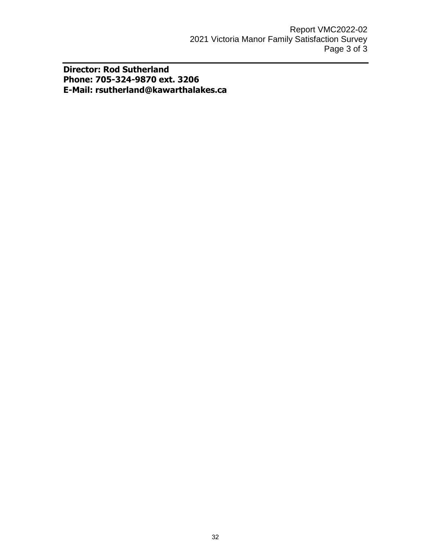**Director: Rod Sutherland Phone: 705-324-9870 ext. 3206 E-Mail: rsutherland@kawarthalakes.ca**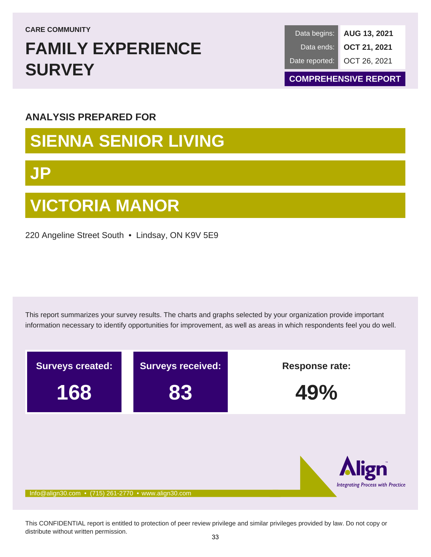**CARE COMMUNITY**

# **FAMILY EXPERIENCE SURVEY**

**AUG 13, 2021 OCT 21, 2021** OCT 26, 2021 Data begins: Data ends: Date reported:

**COMPREHENSIVE REPORT**

# **ANALYSIS PREPARED FOR**

# **SIENNA SENIOR LIVING**

# **JP**

# **VICTORIA MANOR**

220 Angeline Street South • Lindsay, ON K9V 5E9

This report summarizes your survey results. The charts and graphs selected by your organization provide important information necessary to identify opportunities for improvement, as well as areas in which respondents feel you do well.



This CONFIDENTIAL report is entitled to protection of peer review privilege and similar privileges provided by law. Do not copy or distribute without written permission.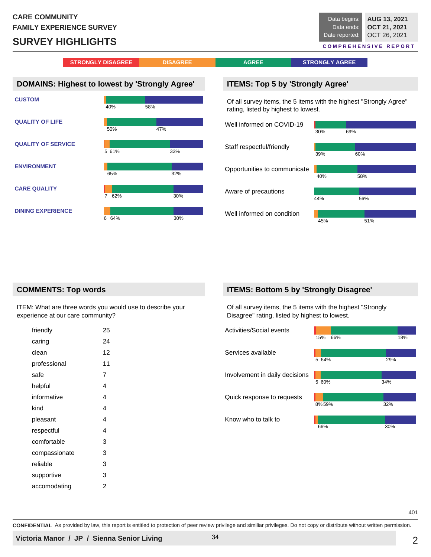# **SURVEY HIGHLIGHTS**

**AUG 13, 2021 OCT 21, 2021** OCT 26, 2021 Data begins: Data ends: Date reported: **C O M P R E H E N S I V E R E P O R T**

**STRONGLY DISAGREE DISAGREE DISAGREE AGREE BISHIPS AGREE** 

# **DOMAINS: Highest to lowest by 'Strongly Agree'**



#### **ITEMS: Top 5 by 'Strongly Agree'**

Of all survey items, the 5 items with the highest "Strongly Agree" rating, listed by highest to lowest.

| Well informed on COVID-19    |     |     |
|------------------------------|-----|-----|
|                              | 30% | 69% |
| Staff respectful/friendly    |     |     |
|                              | 39% | 60% |
| Opportunities to communicate |     |     |
|                              | 40% | 58% |
| Aware of precautions         |     |     |
|                              | 44% | 56% |
| Well informed on condition   |     |     |
|                              | 45% | 51% |

#### **COMMENTS: Top words**

ITEM: What are three words you would use to describe your experience at our care community?

| 25 |
|----|
| 24 |
| 12 |
| 11 |
| 7  |
| 4  |
| 4  |
| 4  |
| 4  |
| 4  |
| 3  |
| 3  |
| 3  |
| 3  |
| 2  |
|    |

#### **ITEMS: Bottom 5 by 'Strongly Disagree'**

Of all survey items, the 5 items with the highest "Strongly Disagree" rating, listed by highest to lowest.



**CONFIDENTIAL** As provided by law, this report is entitled to protection of peer review privilege and similiar privileges. Do not copy or distribute without written permission.

401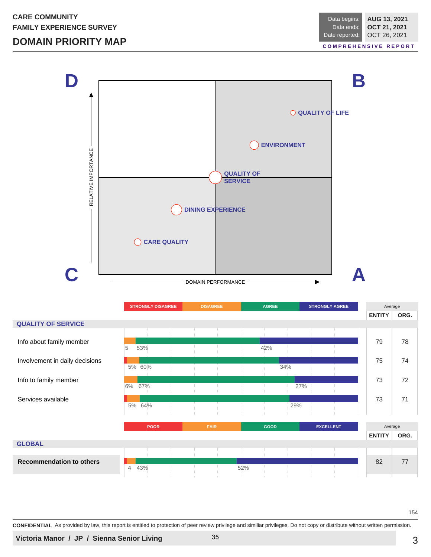# **DOMAIN PRIORITY MAP**



|                                 | <b>STRONGLY DISAGREE</b> | <b>DISAGREE</b> | <b>AGREE</b> | <b>STRONGLY AGREE</b> | Average               |
|---------------------------------|--------------------------|-----------------|--------------|-----------------------|-----------------------|
|                                 |                          |                 |              |                       | ORG.<br><b>ENTITY</b> |
| <b>QUALITY OF SERVICE</b>       |                          |                 |              |                       |                       |
|                                 |                          |                 |              |                       |                       |
| Info about family member        |                          |                 |              |                       | 79<br>78              |
|                                 | 5<br>53%                 |                 | 42%          |                       |                       |
| Involvement in daily decisions  |                          |                 |              |                       | 75<br>74              |
|                                 | 5% 60%                   |                 | 34%          |                       |                       |
|                                 |                          |                 |              |                       | 73<br>72              |
| Info to family member           | 67%<br>6%                |                 |              | 27%                   |                       |
|                                 |                          |                 |              |                       |                       |
| Services available              | 5% 64%                   |                 | 29%          |                       | 73<br>71              |
|                                 |                          |                 | $\mathbb{R}$ |                       |                       |
|                                 |                          |                 |              |                       |                       |
|                                 | <b>POOR</b>              | <b>FAIR</b>     | GOOD         | <b>EXCELLENT</b>      | Average               |
|                                 |                          |                 |              |                       | ORG.<br><b>ENTITY</b> |
| <b>GLOBAL</b>                   |                          |                 |              |                       |                       |
|                                 |                          |                 |              |                       |                       |
| <b>Recommendation to others</b> |                          |                 |              |                       | 82<br>77              |
|                                 | 43%<br>$\overline{4}$    |                 | 52%          |                       |                       |
|                                 |                          |                 | $\mathbb{R}$ |                       |                       |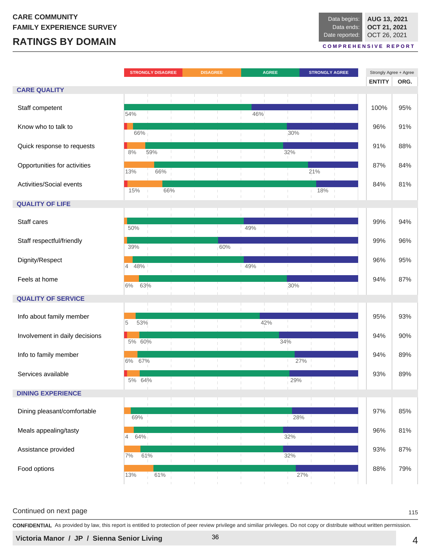# **RATINGS BY DOMAIN**

**AUG 13, 2021 OCT 21, 2021** OCT 26, 2021 Data begins: Data ends: Date reported:

**C O M P R E H E N S I V E R E P O R T**

|                                |                       | <b>STRONGLY DISAGREE</b> |     | <b>DISAGREE</b> |                |                | <b>AGREE</b> |           | <b>STRONGLY AGREE</b> |  | Strongly Agree + Agree<br><b>ENTITY</b> | ORG. |
|--------------------------------|-----------------------|--------------------------|-----|-----------------|----------------|----------------|--------------|-----------|-----------------------|--|-----------------------------------------|------|
| <b>CARE QUALITY</b>            |                       |                          |     |                 |                |                |              |           |                       |  |                                         |      |
| Staff competent                | 54%                   |                          |     |                 | $\mathbb{R}^n$ | 46%            |              |           |                       |  | 100%                                    | 95%  |
| Know who to talk to            | 66%                   |                          |     |                 |                |                |              | 30%       |                       |  | 96%                                     | 91%  |
| Quick response to requests     | 8%                    | 59%                      |     | $\mathbb{R}$    | т.             | $\mathbf{L}$   |              | 32%       |                       |  | 91%                                     | 88%  |
| Opportunities for activities   | 13%                   | 66%                      |     |                 |                |                |              |           | 21%                   |  | 87%                                     | 84%  |
| Activities/Social events       | 15%                   |                          | 66% |                 |                |                |              |           | 18%                   |  | 84%                                     | 81%  |
| <b>QUALITY OF LIFE</b>         |                       |                          |     |                 |                |                |              |           |                       |  |                                         |      |
| Staff cares                    | 50%                   |                          |     |                 |                | 49%            |              |           |                       |  | 99%                                     | 94%  |
| Staff respectful/friendly      | 39%                   |                          |     |                 | 60%            |                |              |           |                       |  | 99%                                     | 96%  |
| Dignity/Respect                | $\overline{4}$<br>48% |                          |     | $\mathbb{R}$    | $\mathbb{L}$   | 49%            |              | T.        | -11                   |  | 96%                                     | 95%  |
| Feels at home                  | 6%                    | 63%                      |     |                 |                |                |              | 30%       |                       |  | 94%                                     | 87%  |
| <b>QUALITY OF SERVICE</b>      |                       |                          |     |                 |                |                |              |           |                       |  |                                         |      |
| Info about family member       | 5<br>53%              | T.                       |     |                 |                |                | 42%          |           |                       |  | 95%                                     | 93%  |
| Involvement in daily decisions | 5% 60%                |                          |     |                 |                |                |              | 34%       |                       |  | 94%                                     | 90%  |
| Info to family member          | 6%<br>67%             |                          | л.  | $\mathbb{R}$    | $\pm$<br>т     | $\mathbb{R}^n$ | T.           | 27%<br>т. |                       |  | 94%                                     | 89%  |
| Services available             | 5% 64%                |                          |     |                 |                |                |              | 29%       |                       |  | 93%                                     | 89%  |
| <b>DINING EXPERIENCE</b>       |                       |                          |     |                 |                |                |              |           |                       |  |                                         |      |
| Dining pleasant/comfortable    | 69%                   |                          |     |                 | J.             |                |              | 28%       |                       |  | 97%                                     | 85%  |
| Meals appealing/tasty          | 64%<br>4              |                          |     |                 |                |                |              | 32%       |                       |  | 96%                                     | 81%  |
| Assistance provided            | $7\%$                 | 61%                      |     |                 | $\mathbb{L}$   | $\mathbb{R}$   | T.           | 32%       |                       |  | 93%                                     | 87%  |
| Food options                   | 13%                   | 61%                      |     |                 |                |                |              | 27%       |                       |  | 88%                                     | 79%  |

#### Continued on next page 115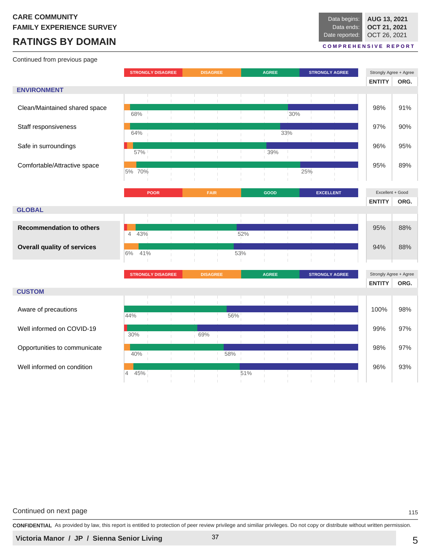# **RATINGS BY DOMAIN**

Continued from previous page

#### **C O M P R E H E N S I V E R E P O R T**

|                                    | <b>STRONGLY DISAGREE</b> |              | <b>DISAGREE</b> |     | <b>AGREE</b><br><b>STRONGLY AGREE</b> |     |                       | Strongly Agree + Agree                  |      |
|------------------------------------|--------------------------|--------------|-----------------|-----|---------------------------------------|-----|-----------------------|-----------------------------------------|------|
|                                    |                          |              |                 |     |                                       |     |                       | <b>ENTITY</b>                           | ORG. |
| <b>ENVIRONMENT</b>                 |                          |              |                 |     |                                       |     |                       |                                         |      |
| Clean/Maintained shared space      | 68%                      |              |                 |     |                                       | 30% |                       | 98%                                     | 91%  |
| Staff responsiveness               | 64%                      |              |                 |     |                                       | 33% |                       | 97%                                     | 90%  |
| Safe in surroundings               | 57%                      | $\mathbb{R}$ |                 | T.  | 39%                                   |     |                       | 96%                                     | 95%  |
| Comfortable/Attractive space       | 5% 70%                   |              |                 |     |                                       | 25% |                       | 95%                                     | 89%  |
|                                    | <b>POOR</b>              |              | <b>FAIR</b>     |     | <b>GOOD</b>                           |     | <b>EXCELLENT</b>      | Excellent + Good                        |      |
|                                    |                          |              |                 |     |                                       |     |                       | <b>ENTITY</b>                           | ORG. |
| <b>GLOBAL</b>                      |                          |              |                 |     |                                       |     |                       |                                         |      |
|                                    |                          |              |                 |     |                                       |     |                       |                                         |      |
| <b>Recommendation to others</b>    | $\overline{4}$<br>43%    |              |                 | 52% |                                       |     |                       | 95%                                     | 88%  |
| <b>Overall quality of services</b> | 6%<br>41%                |              |                 | 53% |                                       |     |                       | 94%                                     | 88%  |
|                                    |                          |              |                 |     |                                       |     |                       |                                         |      |
|                                    | <b>STRONGLY DISAGREE</b> |              | <b>DISAGREE</b> |     | <b>AGREE</b>                          |     | <b>STRONGLY AGREE</b> | Strongly Agree + Agree<br><b>ENTITY</b> | ORG. |
| <b>CUSTOM</b>                      |                          |              |                 |     |                                       |     |                       |                                         |      |
| Aware of precautions               |                          |              |                 |     |                                       |     |                       | 100%                                    | 98%  |
|                                    | 44%                      | U.<br>al I   |                 | 56% |                                       |     |                       |                                         |      |
| Well informed on COVID-19          | 30%                      |              | 69%             |     |                                       |     |                       | 99%                                     | 97%  |
| Opportunities to communicate       | 40%                      |              |                 | 58% |                                       |     |                       | 98%                                     | 97%  |
| Well informed on condition         | 45%<br>$\overline{4}$    |              |                 | 51% |                                       |     |                       | 96%                                     | 93%  |

Continued on next page 115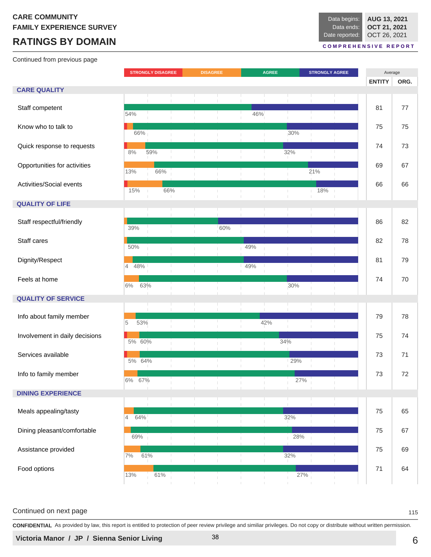# **RATINGS BY DOMAIN**

Continued from previous page

#### **C O M P R E H E N S I V E R E P O R T**

|                                |                       | <b>STRONGLY DISAGREE</b> |              | <b>DISAGREE</b> |     |              | <b>AGREE</b> |     | <b>STRONGLY AGREE</b> |              | Average       |      |  |
|--------------------------------|-----------------------|--------------------------|--------------|-----------------|-----|--------------|--------------|-----|-----------------------|--------------|---------------|------|--|
|                                |                       |                          |              |                 |     |              |              |     |                       |              | <b>ENTITY</b> | ORG. |  |
| <b>CARE QUALITY</b>            |                       |                          |              |                 |     |              |              |     |                       |              |               |      |  |
|                                |                       |                          |              |                 |     |              |              |     |                       |              |               |      |  |
|                                |                       |                          |              | $\mathbb{R}$    |     | $\mathbb{R}$ | $\mathbf{I}$ |     |                       | $\mathbb{R}$ |               |      |  |
| Staff competent                | 54%                   |                          |              |                 |     | 46%          |              |     |                       |              | 81            | 77   |  |
|                                |                       |                          |              |                 |     |              |              |     |                       |              |               |      |  |
| Know who to talk to            |                       |                          |              |                 |     |              |              |     |                       |              | 75            | 75   |  |
|                                | 66%                   |                          |              |                 |     |              |              | 30% |                       |              |               |      |  |
| Quick response to requests     |                       |                          |              |                 |     |              |              |     |                       |              | 74            | 73   |  |
|                                | $8\%$                 | 59%                      | $\mathbb{L}$ | $\mathbb{R}$    |     |              | $\mathbb{L}$ | 32% |                       | u.           |               |      |  |
|                                |                       |                          |              |                 |     |              |              |     |                       |              |               |      |  |
| Opportunities for activities   |                       |                          |              |                 |     |              |              |     |                       |              | 69            | 67   |  |
|                                | 13%                   | 66%                      |              |                 |     |              |              |     | 21%                   |              |               |      |  |
| Activities/Social events       |                       |                          |              |                 |     |              |              |     |                       |              | 66            | 66   |  |
|                                | 15%                   |                          | 66%          | $\mathbb{R}$    |     | T.           | $\mathbb{R}$ |     | 18%                   |              |               |      |  |
|                                |                       |                          |              |                 |     |              |              |     |                       |              |               |      |  |
| <b>QUALITY OF LIFE</b>         |                       |                          |              |                 |     |              |              |     |                       |              |               |      |  |
|                                |                       |                          |              |                 |     |              | $\mathbf{I}$ |     |                       |              |               |      |  |
| Staff respectful/friendly      |                       |                          |              |                 |     |              |              |     |                       |              | 86            | 82   |  |
|                                | 39%                   |                          |              |                 | 60% |              |              |     |                       |              |               |      |  |
| Staff cares                    |                       |                          |              |                 |     |              |              |     |                       |              | 82            | 78   |  |
|                                | 50%                   |                          |              |                 |     | 49%          |              |     |                       |              |               |      |  |
|                                |                       |                          |              |                 |     |              |              |     |                       |              |               |      |  |
| Dignity/Respect                |                       |                          |              | $\mathbb{L}$    |     |              |              |     |                       |              | 81            | 79   |  |
|                                | 48%<br>$\overline{4}$ |                          | Ι.           |                 |     | 49%          | т.           |     |                       | U.           |               |      |  |
| Feels at home                  |                       |                          |              |                 |     |              |              |     |                       |              | 74            | 70   |  |
|                                | 6%                    | 63%                      |              |                 |     |              |              | 30% |                       |              |               |      |  |
|                                |                       |                          |              |                 |     |              |              |     |                       |              |               |      |  |
| <b>QUALITY OF SERVICE</b>      |                       |                          |              |                 |     |              |              |     |                       |              |               |      |  |
|                                |                       |                          |              |                 |     |              |              |     |                       |              |               |      |  |
| Info about family member       |                       |                          |              | a ka            |     |              |              |     |                       |              | 79            | 78   |  |
|                                | 5<br>53%              |                          |              | $\mathbb{R}$    |     |              | 42%          |     |                       |              |               |      |  |
| Involvement in daily decisions |                       |                          |              |                 |     |              |              |     |                       |              | 75            | 74   |  |
|                                | 5% 60%                |                          |              |                 |     |              |              | 34% |                       |              |               |      |  |
|                                |                       |                          |              |                 |     |              |              |     |                       |              |               |      |  |
| Services available             | 5% 64%                |                          | ÷.           | л.              | т.  | т.           | т.           | 29% |                       |              | 73            | 71   |  |
|                                |                       |                          |              | т.              |     | Τ.           |              |     |                       |              |               |      |  |
| Info to family member          |                       |                          |              |                 |     |              |              |     |                       |              | 73            | 72   |  |
|                                | 6%                    | 67%                      |              |                 |     |              |              | 27% |                       |              |               |      |  |
|                                |                       |                          |              |                 |     |              |              |     |                       |              |               |      |  |
| <b>DINING EXPERIENCE</b>       |                       |                          |              |                 |     |              |              |     |                       |              |               |      |  |
|                                |                       |                          |              |                 |     | Τ.           | $\mathbb{L}$ |     |                       |              |               |      |  |
| Meals appealing/tasty          |                       |                          |              |                 |     | U.           | U.           |     |                       |              | 75            | 65   |  |
|                                | $\overline{4}$<br>64% |                          |              |                 |     | т            |              | 32% |                       |              |               |      |  |
| Dining pleasant/comfortable    |                       |                          |              |                 |     |              |              |     |                       |              | 75            | 67   |  |
|                                | 69%                   |                          |              |                 |     |              |              | 28% |                       |              |               |      |  |
|                                |                       |                          |              |                 |     |              |              |     |                       |              |               |      |  |
| Assistance provided            | $7\%$                 | 61%                      |              | T.              |     | T.           | т.           | 32% |                       |              | 75            | 69   |  |
|                                |                       |                          |              |                 |     | Τ.           | H            |     |                       |              |               |      |  |
| Food options                   |                       | 61%                      |              |                 |     |              |              |     |                       |              | $71$          | 64   |  |
| 13%                            |                       |                          |              |                 |     |              |              | 27% |                       |              |               |      |  |
|                                |                       |                          |              |                 |     |              |              |     |                       |              |               |      |  |

#### Continued on next page 115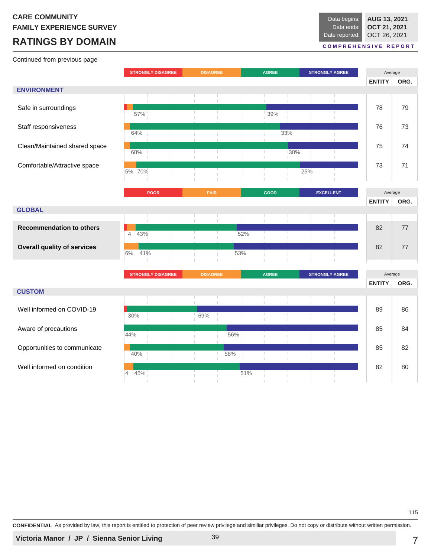# **RATINGS BY DOMAIN**

Continued from previous page

#### **C O M P R E H E N S I V E R E P O R T**

|                                    | <b>STRONGLY DISAGREE</b> |                          | <b>DISAGREE</b> |                 |                     | <b>AGREE</b> |                | <b>STRONGLY AGREE</b> |                       | Average |               |      |
|------------------------------------|--------------------------|--------------------------|-----------------|-----------------|---------------------|--------------|----------------|-----------------------|-----------------------|---------|---------------|------|
|                                    |                          |                          |                 |                 |                     |              |                |                       |                       |         | <b>ENTITY</b> | ORG. |
| <b>ENVIRONMENT</b>                 |                          |                          |                 |                 |                     |              |                |                       |                       |         |               |      |
|                                    |                          |                          |                 |                 |                     |              |                |                       |                       |         |               |      |
| Safe in surroundings               | 57%                      |                          |                 |                 |                     |              | 39%            |                       |                       |         | 78            | 79   |
| Staff responsiveness               |                          |                          |                 |                 |                     |              |                |                       |                       |         | 76            | 73   |
|                                    | 64%                      |                          |                 |                 |                     |              |                | 33%                   |                       |         |               |      |
| Clean/Maintained shared space      |                          |                          |                 |                 |                     |              |                |                       |                       |         | 75            | 74   |
|                                    | 68%                      |                          |                 |                 |                     |              |                | 30%                   |                       |         |               |      |
| Comfortable/Attractive space       | 5% 70%                   |                          |                 |                 |                     |              |                |                       | 25%                   |         | 73            | 71   |
|                                    |                          |                          |                 |                 |                     |              |                |                       |                       |         |               |      |
|                                    |                          | <b>POOR</b>              |                 | <b>FAIR</b>     |                     |              | GOOD           |                       | <b>EXCELLENT</b>      |         | Average       |      |
|                                    |                          |                          |                 |                 |                     |              |                |                       |                       |         | <b>ENTITY</b> | ORG. |
| <b>GLOBAL</b>                      |                          |                          |                 |                 |                     |              |                |                       |                       |         |               |      |
|                                    |                          | п.                       |                 |                 |                     | $\mathbb{R}$ | $\mathbb{R}^n$ |                       |                       |         |               |      |
| <b>Recommendation to others</b>    | 43%<br>$\overline{4}$    |                          |                 |                 |                     | 52%          |                |                       |                       |         | 82            | 77   |
| <b>Overall quality of services</b> |                          |                          |                 |                 |                     |              |                |                       |                       |         | 82            | 77   |
|                                    | 6%<br>41%                |                          |                 |                 |                     | 53%          |                |                       |                       |         |               |      |
|                                    |                          |                          |                 |                 | $\mathbb{R}$        |              |                |                       |                       |         |               |      |
|                                    |                          | <b>STRONGLY DISAGREE</b> |                 | <b>DISAGREE</b> |                     |              | <b>AGREE</b>   |                       | <b>STRONGLY AGREE</b> |         | Average       |      |
| <b>CUSTOM</b>                      |                          |                          |                 |                 |                     |              |                |                       |                       |         | <b>ENTITY</b> | ORG. |
|                                    |                          |                          |                 |                 |                     |              |                |                       |                       |         |               |      |
| Well informed on COVID-19          | 30%                      |                          |                 | 69%             |                     |              | T.             |                       |                       |         | 89            | 86   |
|                                    |                          |                          |                 |                 |                     |              |                |                       |                       |         |               |      |
| Aware of precautions               | 44%                      |                          |                 |                 | 56%                 |              |                |                       |                       |         | 85            | 84   |
| Opportunities to communicate       |                          |                          |                 |                 |                     |              |                |                       |                       |         | 85            | 82   |
|                                    | 40%                      |                          |                 | т.<br>n         | 58%<br>л,<br>$\top$ |              |                |                       |                       |         |               |      |
| Well informed on condition         |                          |                          |                 |                 |                     | 51%          |                |                       |                       |         | 82            | 80   |
|                                    | 45%<br>4                 |                          |                 |                 |                     |              |                |                       |                       |         |               |      |

115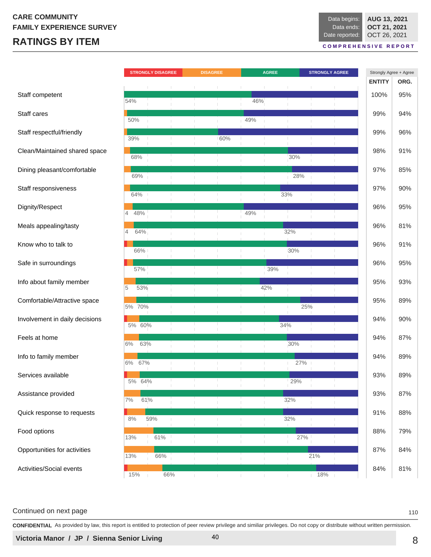# **RATINGS BY ITEM**

**AUG 13, 2021 OCT 21, 2021** OCT 26, 2021 Data begins: Data ends: Date reported:

**C O M P R E H E N S I V E R E P O R T**

|                                |          | <b>STRONGLY DISAGREE</b> |     | <b>DISAGREE</b> | <b>AGREE</b> |              |              | <b>STRONGLY AGREE</b> |                       | Strongly Agree + Agree |               |      |
|--------------------------------|----------|--------------------------|-----|-----------------|--------------|--------------|--------------|-----------------------|-----------------------|------------------------|---------------|------|
|                                |          |                          |     |                 |              |              |              |                       |                       |                        | <b>ENTITY</b> | ORG. |
| Staff competent                | 54%      |                          |     |                 |              | 46%          |              |                       |                       |                        | 100%          | 95%  |
| Staff cares                    | 50%      |                          |     |                 |              | 49%          |              |                       |                       |                        | 99%           | 94%  |
| Staff respectful/friendly      | 39%      |                          |     |                 | 60%          |              | T.           |                       |                       |                        | 99%           | 96%  |
| Clean/Maintained shared space  | 68%      |                          |     |                 |              |              |              | 30%                   |                       |                        | 98%           | 91%  |
| Dining pleasant/comfortable    | 69%      |                          |     |                 |              |              |              | 28%                   |                       |                        | 97%           | 85%  |
| Staff responsiveness           | 64%      |                          |     |                 | т.           |              | Ш            | 33%                   |                       |                        | 97%           | 90%  |
| Dignity/Respect                | 48%<br>4 |                          |     |                 | $\mathbb{R}$ | 49%          |              |                       |                       |                        | 96%           | 95%  |
| Meals appealing/tasty          | 4        | 64%                      |     |                 |              |              |              | 32%                   |                       |                        | 96%           | 81%  |
| Know who to talk to            | 66%      |                          |     |                 |              |              |              | 30%                   |                       |                        | 96%           | 91%  |
| Safe in surroundings           | 57%      |                          |     |                 |              |              | 39%          |                       |                       |                        | 96%           | 95%  |
| Info about family member       | 5        | 53%                      |     |                 |              |              | 42%          |                       |                       |                        | 95%           | 93%  |
| Comfortable/Attractive space   | 5% 70%   |                          |     |                 | $\mathbb{R}$ |              | $\mathbb{L}$ | 25%<br>$\mathbb{L}$   |                       |                        | 95%           | 89%  |
| Involvement in daily decisions |          |                          |     |                 |              |              |              |                       |                       |                        | 94%           | 90%  |
| Feels at home                  | 5% 60%   |                          |     |                 |              |              |              | 34%                   |                       |                        | 94%           | 87%  |
| Info to family member          | 6%       | 63%                      |     |                 |              |              |              | 30%                   |                       |                        | 94%           | 89%  |
| Services available             | 6%       | 67%                      |     |                 |              |              |              | 27%                   |                       |                        | 93%           | 89%  |
| Assistance provided            | 5% 64%   |                          |     |                 |              |              | H.           | 29%                   |                       |                        | 93%           | 87%  |
| Quick response to requests     | 7%       | 61%                      |     |                 |              |              |              | 32%                   |                       |                        | 91%           | 88%  |
| Food options                   | 8%       | 59%                      |     |                 |              |              | т            | 32%                   |                       |                        | 88%           | 79%  |
| Opportunities for activities   | 13%      | 61%                      |     |                 | H.           |              | T.           | 27%                   |                       |                        | 87%           | 84%  |
|                                | 13%      | 66%                      |     |                 |              |              |              |                       | 21%                   |                        |               |      |
| Activities/Social events       | 15%      |                          | 66% | H.              | $\mathbb{L}$ | $\mathbb{R}$ | $\mathbf{L}$ | $\mathbb{R}^n$        | 18%<br>$\mathbb{R}^n$ |                        | 84%           | 81%  |

#### Continued on next page 110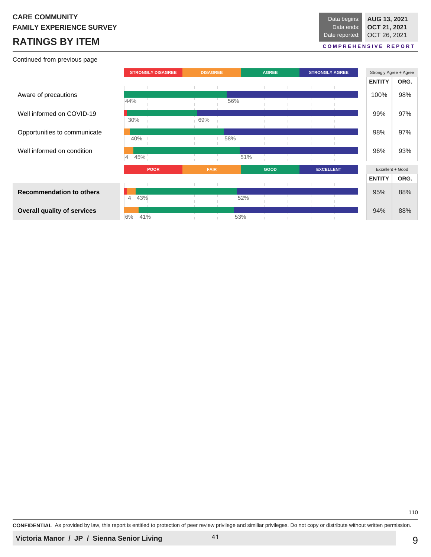# **RATINGS BY ITEM**

Continued from previous page

| Data begins:   | AUG 13, 2021 |
|----------------|--------------|
| Data ends:     | OCT 21, 2021 |
| Date reported: | OCT 26, 2021 |
|                |              |

#### **C O M P R E H E N S I V E R E P O R T**

|                                    | <b>STRONGLY DISAGREE</b> |             | <b>DISAGREE</b> |     | <b>AGREE</b> |      |  | <b>STRONGLY AGREE</b> | Strongly Agree + Agree |                  |      |
|------------------------------------|--------------------------|-------------|-----------------|-----|--------------|------|--|-----------------------|------------------------|------------------|------|
|                                    |                          |             |                 |     |              |      |  |                       |                        | <b>ENTITY</b>    | ORG. |
| Aware of precautions               | 44%                      |             |                 | 56% |              |      |  |                       |                        | 100%             | 98%  |
| Well informed on COVID-19          | 30%                      |             | 69%             |     |              |      |  |                       |                        | 99%              | 97%  |
| Opportunities to communicate       |                          |             |                 |     |              |      |  |                       |                        | 98%              | 97%  |
| Well informed on condition         | 40%                      |             |                 | 58% |              |      |  |                       |                        | 96%              | 93%  |
|                                    | 45%<br>$\overline{4}$    |             |                 |     | 51%          |      |  |                       |                        |                  |      |
|                                    |                          | <b>POOR</b> | <b>FAIR</b>     |     |              | GOOD |  | <b>EXCELLENT</b>      |                        | Excellent + Good |      |
|                                    |                          |             |                 |     |              |      |  |                       |                        | <b>ENTITY</b>    | ORG. |
| <b>Recommendation to others</b>    | 43%<br>$\overline{4}$    |             |                 |     | 52%          |      |  |                       |                        | 95%              | 88%  |
| <b>Overall quality of services</b> |                          |             |                 |     |              |      |  |                       |                        | 94%              | 88%  |
|                                    | 6%                       | 41%         |                 |     | 53%          |      |  |                       |                        |                  |      |

**CONFIDENTIAL** As provided by law, this report is entitled to protection of peer review privilege and similiar privileges. Do not copy or distribute without written permission.

110